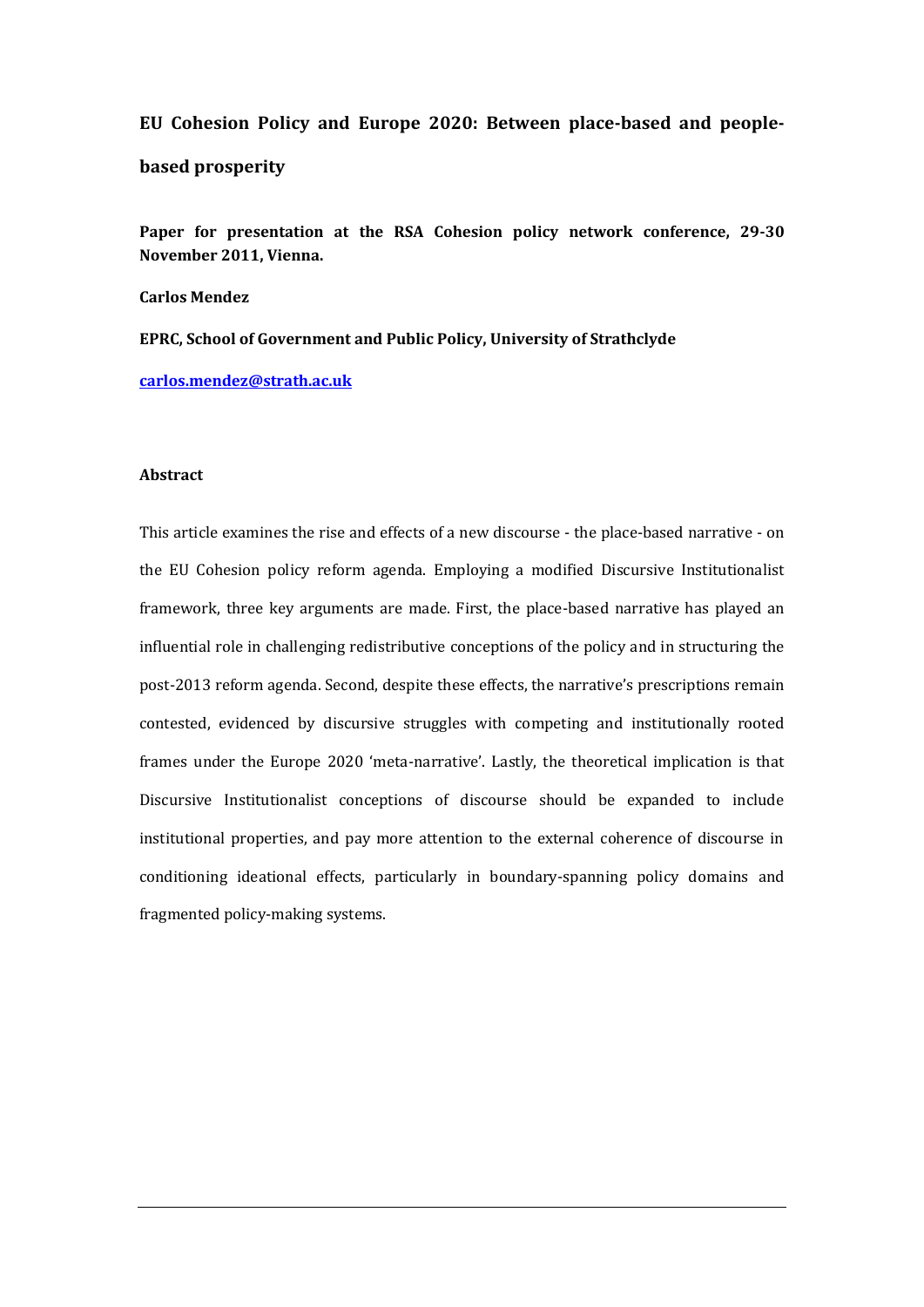**EU Cohesion Policy and Europe 2020: Between place-based and peoplebased prosperity**

**Paper for presentation at the RSA Cohesion policy network conference, 29-30 November 2011, Vienna.**

**Carlos Mendez**

**EPRC, School of Government and Public Policy, University of Strathclyde**

**[carlos.mendez@strath.ac.uk](mailto:carlos.mendez@strath.ac.uk)**

### **Abstract**

This article examines the rise and effects of a new discourse - the place-based narrative - on the EU Cohesion policy reform agenda. Employing a modified Discursive Institutionalist framework, three key arguments are made. First, the place-based narrative has played an influential role in challenging redistributive conceptions of the policy and in structuring the post-2013 reform agenda. Second, despite these effects, the narrative's prescriptions remain contested, evidenced by discursive struggles with competing and institutionally rooted frames under the Europe 2020 'meta-narrative'. Lastly, the theoretical implication is that Discursive Institutionalist conceptions of discourse should be expanded to include institutional properties, and pay more attention to the external coherence of discourse in conditioning ideational effects, particularly in boundary-spanning policy domains and fragmented policy-making systems.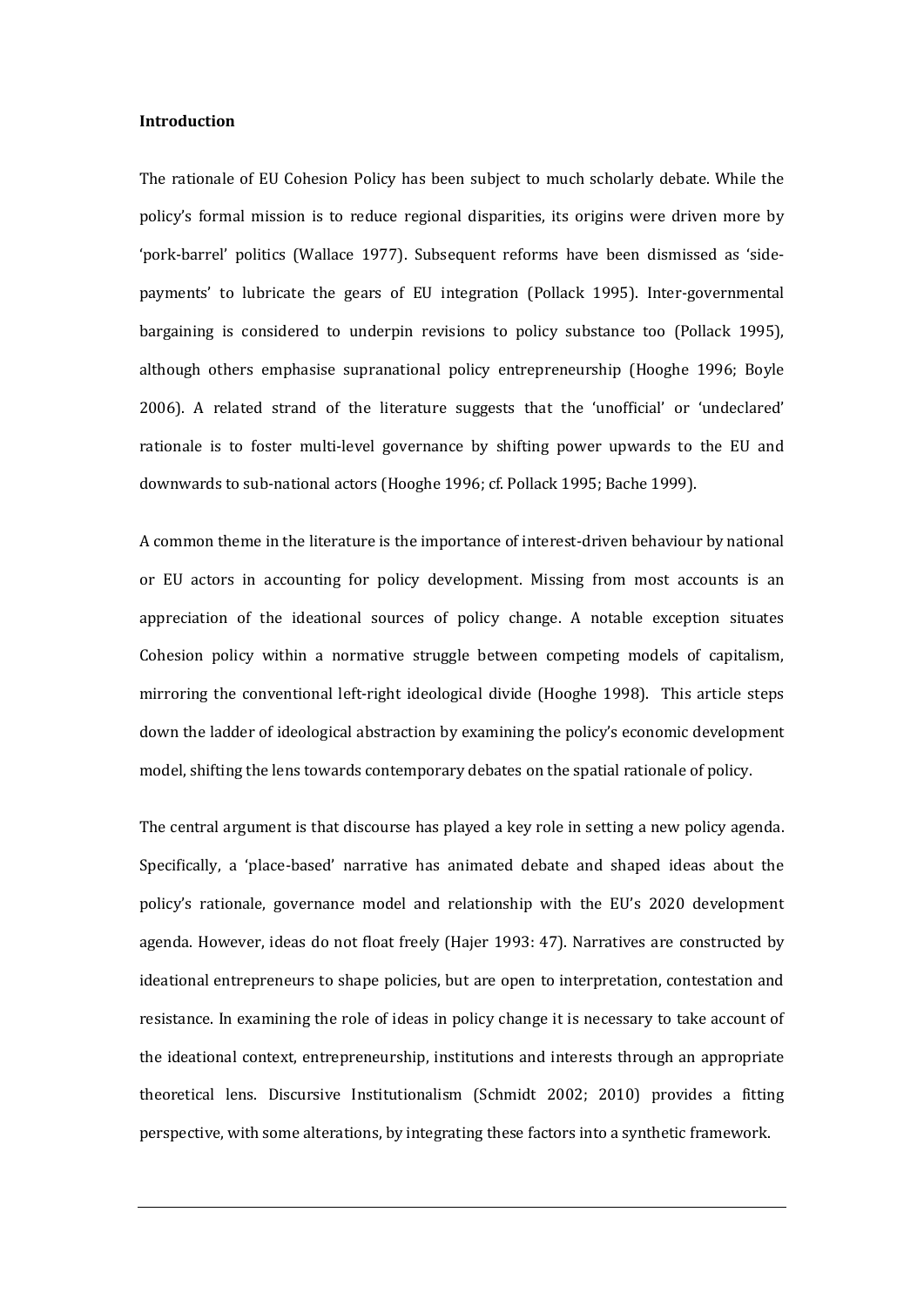## **Introduction**

The rationale of EU Cohesion Policy has been subject to much scholarly debate. While the policy's formal mission is to reduce regional disparities, its origins were driven more by 'pork-barrel' politics (Wallace 1977). Subsequent reforms have been dismissed as 'sidepayments' to lubricate the gears of EU integration (Pollack 1995). Inter-governmental bargaining is considered to underpin revisions to policy substance too (Pollack 1995), although others emphasise supranational policy entrepreneurship (Hooghe 1996; Boyle 2006). A related strand of the literature suggests that the 'unofficial' or 'undeclared' rationale is to foster multi-level governance by shifting power upwards to the EU and downwards to sub-national actors (Hooghe 1996; cf. Pollack 1995; Bache 1999).

A common theme in the literature is the importance of interest-driven behaviour by national or EU actors in accounting for policy development. Missing from most accounts is an appreciation of the ideational sources of policy change. A notable exception situates Cohesion policy within a normative struggle between competing models of capitalism, mirroring the conventional left-right ideological divide (Hooghe 1998). This article steps down the ladder of ideological abstraction by examining the policy's economic development model, shifting the lens towards contemporary debates on the spatial rationale of policy.

The central argument is that discourse has played a key role in setting a new policy agenda. Specifically, a 'place-based' narrative has animated debate and shaped ideas about the policy's rationale, governance model and relationship with the EU's 2020 development agenda. However, ideas do not float freely (Hajer 1993: 47). Narratives are constructed by ideational entrepreneurs to shape policies, but are open to interpretation, contestation and resistance. In examining the role of ideas in policy change it is necessary to take account of the ideational context, entrepreneurship, institutions and interests through an appropriate theoretical lens. Discursive Institutionalism (Schmidt 2002; 2010) provides a fitting perspective, with some alterations, by integrating these factors into a synthetic framework.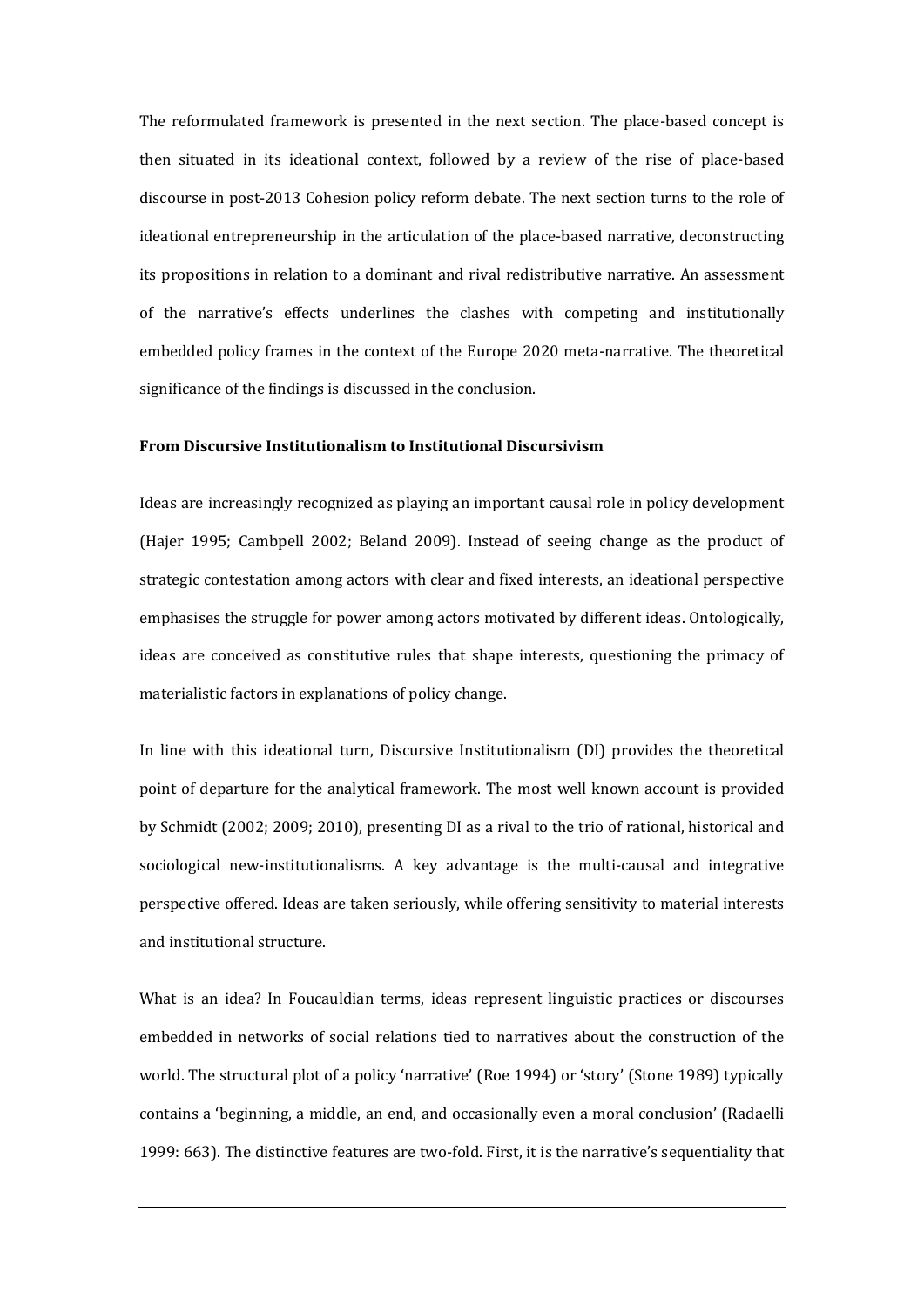The reformulated framework is presented in the next section. The place-based concept is then situated in its ideational context, followed by a review of the rise of place-based discourse in post-2013 Cohesion policy reform debate. The next section turns to the role of ideational entrepreneurship in the articulation of the place-based narrative, deconstructing its propositions in relation to a dominant and rival redistributive narrative. An assessment of the narrative's effects underlines the clashes with competing and institutionally embedded policy frames in the context of the Europe 2020 meta-narrative. The theoretical significance of the findings is discussed in the conclusion.

## **From Discursive Institutionalism to Institutional Discursivism**

Ideas are increasingly recognized as playing an important causal role in policy development (Hajer 1995; Cambpell 2002; Beland 2009). Instead of seeing change as the product of strategic contestation among actors with clear and fixed interests, an ideational perspective emphasises the struggle for power among actors motivated by different ideas. Ontologically, ideas are conceived as constitutive rules that shape interests, questioning the primacy of materialistic factors in explanations of policy change.

In line with this ideational turn, Discursive Institutionalism (DI) provides the theoretical point of departure for the analytical framework. The most well known account is provided by Schmidt (2002; 2009; 2010), presenting DI as a rival to the trio of rational, historical and sociological new-institutionalisms. A key advantage is the multi-causal and integrative perspective offered. Ideas are taken seriously, while offering sensitivity to material interests and institutional structure.

What is an idea? In Foucauldian terms, ideas represent linguistic practices or discourses embedded in networks of social relations tied to narratives about the construction of the world. The structural plot of a policy 'narrative' (Roe 1994) or 'story' (Stone 1989) typically contains a 'beginning, a middle, an end, and occasionally even a moral conclusion' (Radaelli 1999: 663). The distinctive features are two-fold. First, it is the narrative's sequentiality that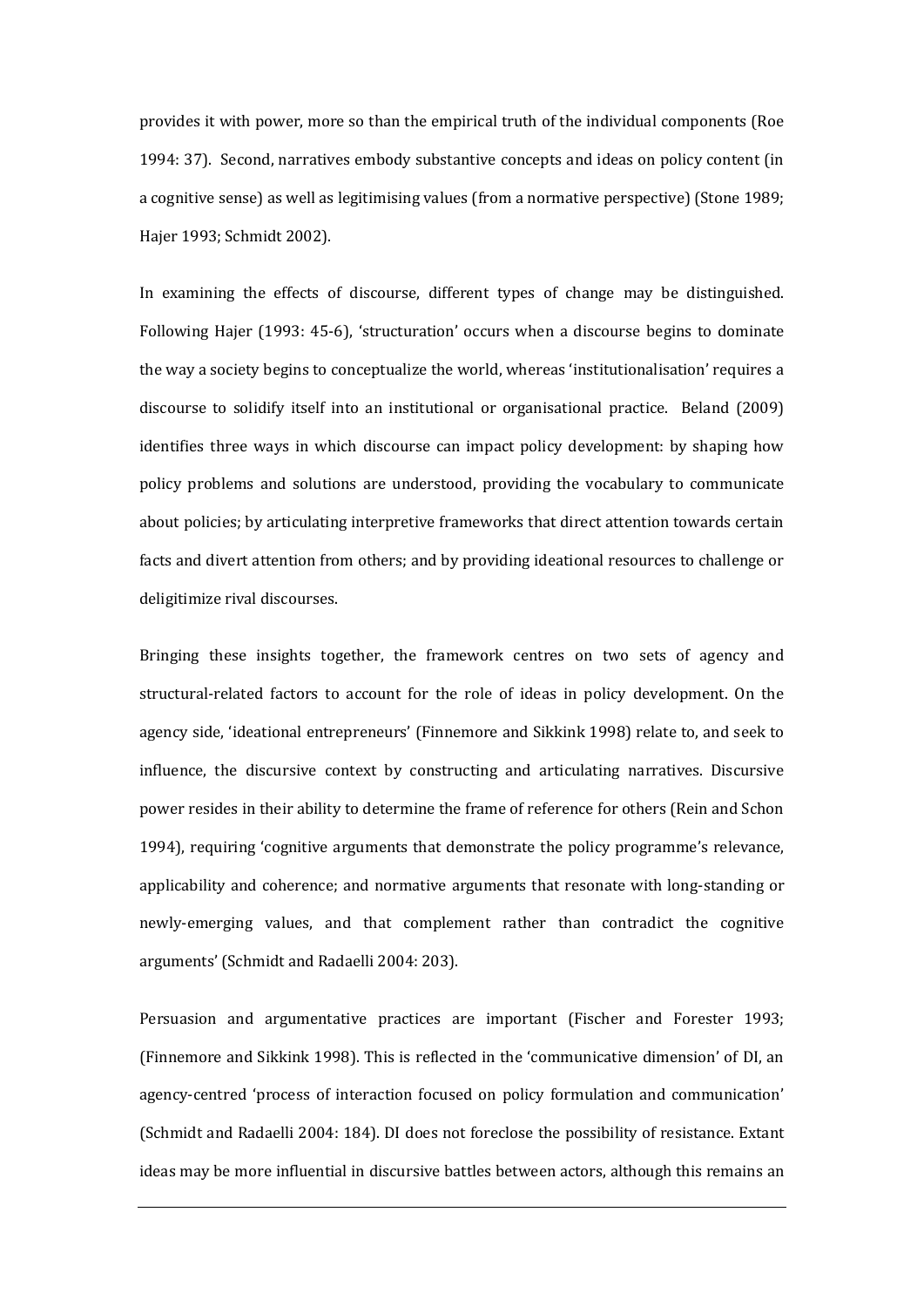provides it with power, more so than the empirical truth of the individual components (Roe 1994: 37). Second, narratives embody substantive concepts and ideas on policy content (in a cognitive sense) as well as legitimising values (from a normative perspective) (Stone 1989; Hajer 1993; Schmidt 2002).

In examining the effects of discourse, different types of change may be distinguished. Following Hajer (1993: 45-6), 'structuration' occurs when a discourse begins to dominate the way a society begins to conceptualize the world, whereas 'institutionalisation' requires a discourse to solidify itself into an institutional or organisational practice. Beland (2009) identifies three ways in which discourse can impact policy development: by shaping how policy problems and solutions are understood, providing the vocabulary to communicate about policies; by articulating interpretive frameworks that direct attention towards certain facts and divert attention from others; and by providing ideational resources to challenge or deligitimize rival discourses.

Bringing these insights together, the framework centres on two sets of agency and structural-related factors to account for the role of ideas in policy development. On the agency side, 'ideational entrepreneurs' (Finnemore and Sikkink 1998) relate to, and seek to influence, the discursive context by constructing and articulating narratives. Discursive power resides in their ability to determine the frame of reference for others (Rein and Schon 1994), requiring 'cognitive arguments that demonstrate the policy programme's relevance, applicability and coherence; and normative arguments that resonate with long-standing or newly-emerging values, and that complement rather than contradict the cognitive arguments' (Schmidt and Radaelli 2004: 203).

Persuasion and argumentative practices are important (Fischer and Forester 1993; (Finnemore and Sikkink 1998). This is reflected in the 'communicative dimension' of DI, an agency-centred 'process of interaction focused on policy formulation and communication' (Schmidt and Radaelli 2004: 184). DI does not foreclose the possibility of resistance. Extant ideas may be more influential in discursive battles between actors, although this remains an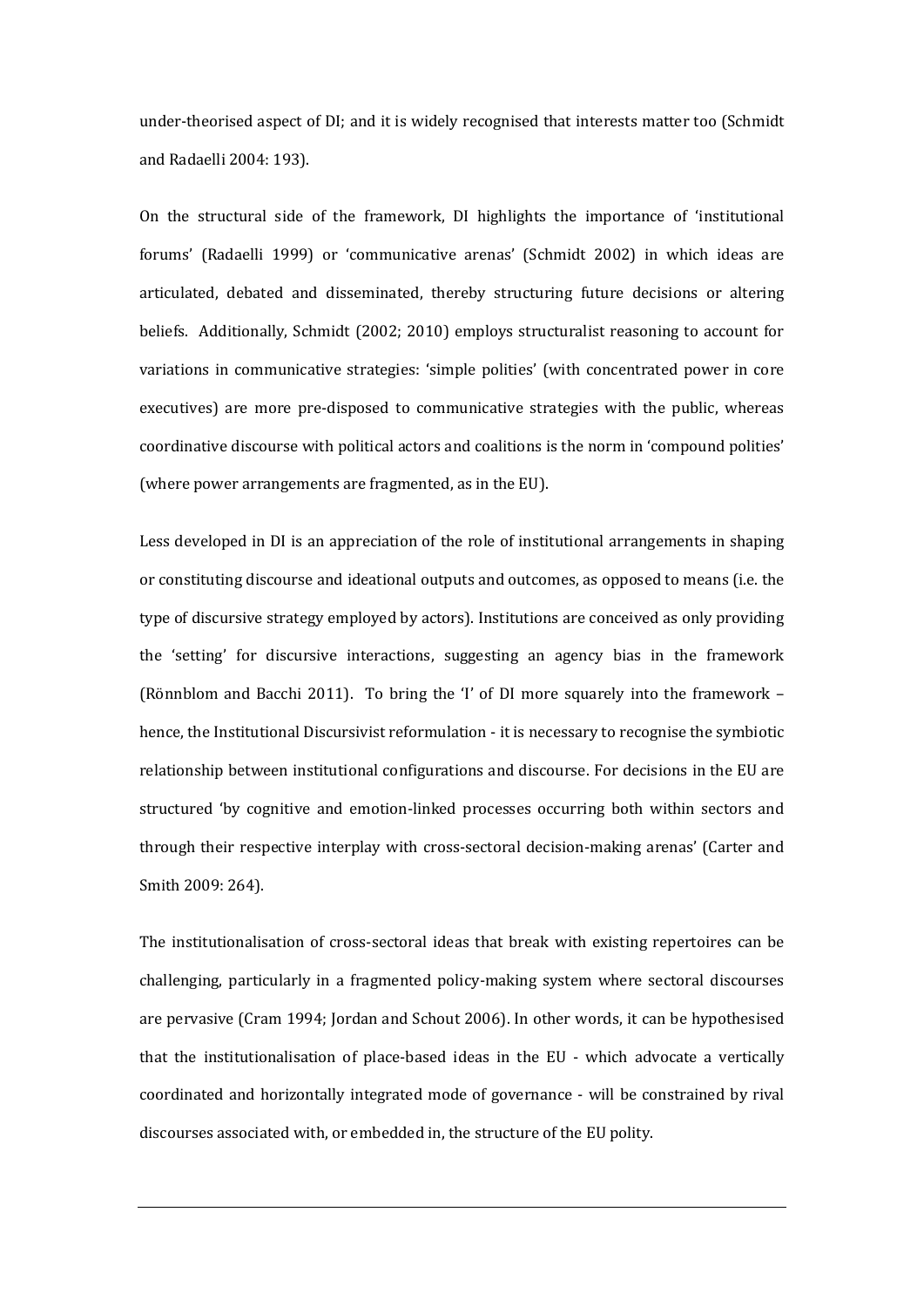under-theorised aspect of DI; and it is widely recognised that interests matter too (Schmidt and Radaelli 2004: 193).

On the structural side of the framework, DI highlights the importance of 'institutional forums' (Radaelli 1999) or 'communicative arenas' (Schmidt 2002) in which ideas are articulated, debated and disseminated, thereby structuring future decisions or altering beliefs. Additionally, Schmidt (2002; 2010) employs structuralist reasoning to account for variations in communicative strategies: 'simple polities' (with concentrated power in core executives) are more pre-disposed to communicative strategies with the public, whereas coordinative discourse with political actors and coalitions is the norm in 'compound polities' (where power arrangements are fragmented, as in the EU).

Less developed in DI is an appreciation of the role of institutional arrangements in shaping or constituting discourse and ideational outputs and outcomes, as opposed to means (i.e. the type of discursive strategy employed by actors). Institutions are conceived as only providing the 'setting' for discursive interactions, suggesting an agency bias in the framework (Rönnblom and Bacchi 2011). To bring the 'I' of DI more squarely into the framework – hence, the Institutional Discursivist reformulation - it is necessary to recognise the symbiotic relationship between institutional configurations and discourse. For decisions in the EU are structured 'by cognitive and emotion-linked processes occurring both within sectors and through their respective interplay with cross-sectoral decision-making arenas' (Carter and Smith 2009: 264).

The institutionalisation of cross-sectoral ideas that break with existing repertoires can be challenging, particularly in a fragmented policy-making system where sectoral discourses are pervasive (Cram 1994; Jordan and Schout 2006). In other words, it can be hypothesised that the institutionalisation of place-based ideas in the EU - which advocate a vertically coordinated and horizontally integrated mode of governance - will be constrained by rival discourses associated with, or embedded in, the structure of the EU polity.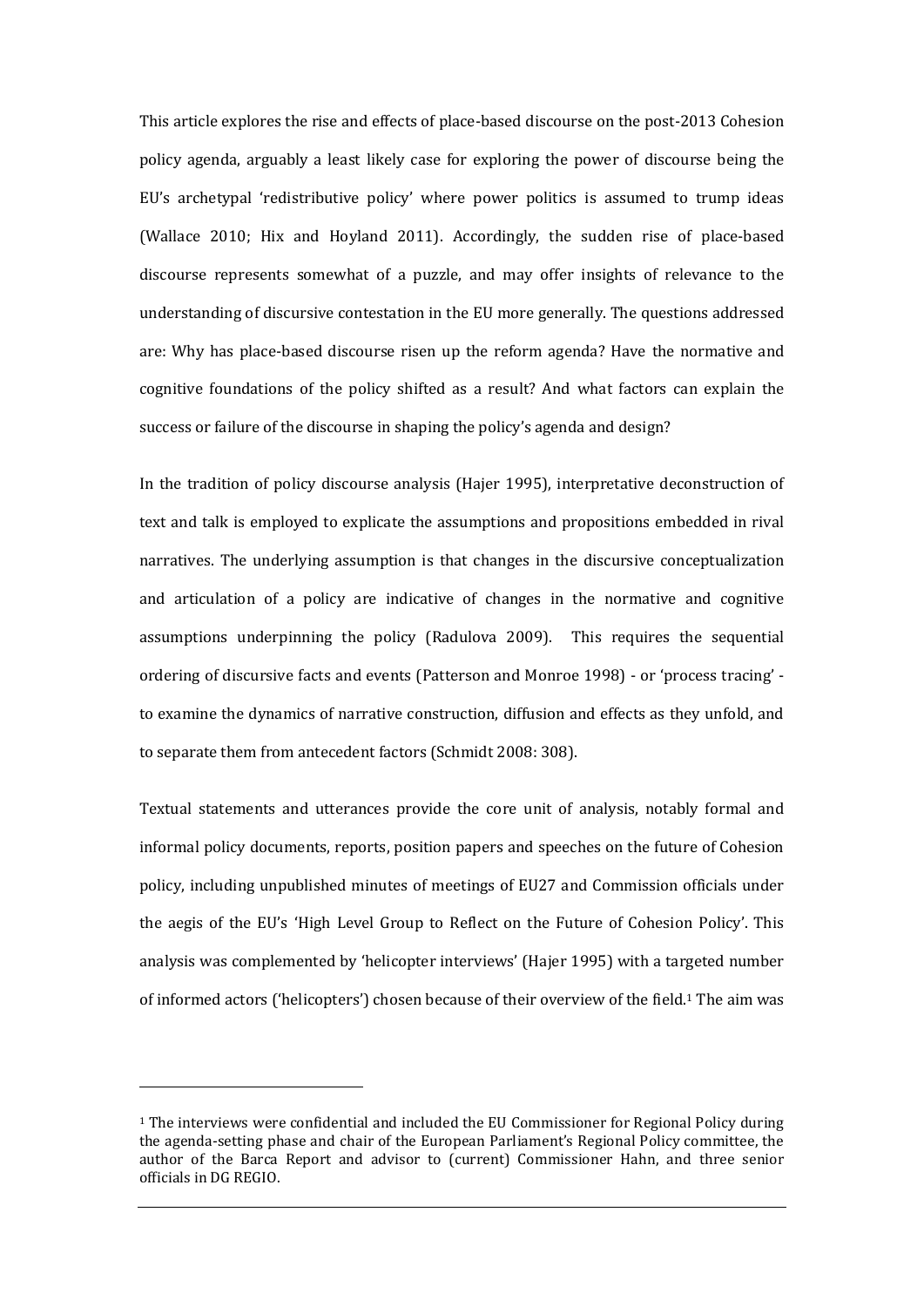This article explores the rise and effects of place-based discourse on the post-2013 Cohesion policy agenda, arguably a least likely case for exploring the power of discourse being the EU's archetypal 'redistributive policy' where power politics is assumed to trump ideas (Wallace 2010; Hix and Hoyland 2011). Accordingly, the sudden rise of place-based discourse represents somewhat of a puzzle, and may offer insights of relevance to the understanding of discursive contestation in the EU more generally. The questions addressed are: Why has place-based discourse risen up the reform agenda? Have the normative and cognitive foundations of the policy shifted as a result? And what factors can explain the success or failure of the discourse in shaping the policy's agenda and design?

In the tradition of policy discourse analysis (Hajer 1995), interpretative deconstruction of text and talk is employed to explicate the assumptions and propositions embedded in rival narratives. The underlying assumption is that changes in the discursive conceptualization and articulation of a policy are indicative of changes in the normative and cognitive assumptions underpinning the policy (Radulova 2009). This requires the sequential ordering of discursive facts and events (Patterson and Monroe 1998) - or 'process tracing' to examine the dynamics of narrative construction, diffusion and effects as they unfold, and to separate them from antecedent factors (Schmidt 2008: 308).

Textual statements and utterances provide the core unit of analysis, notably formal and informal policy documents, reports, position papers and speeches on the future of Cohesion policy, including unpublished minutes of meetings of EU27 and Commission officials under the aegis of the EU's 'High Level Group to Reflect on the Future of Cohesion Policy'. This analysis was complemented by 'helicopter interviews' (Hajer 1995) with a targeted number of informed actors ('helicopters') chosen because of their overview of the field.<sup>1</sup> The aim was

l

<sup>1</sup> The interviews were confidential and included the EU Commissioner for Regional Policy during the agenda-setting phase and chair of the European Parliament's Regional Policy committee, the author of the Barca Report and advisor to (current) Commissioner Hahn, and three senior officials in DG REGIO.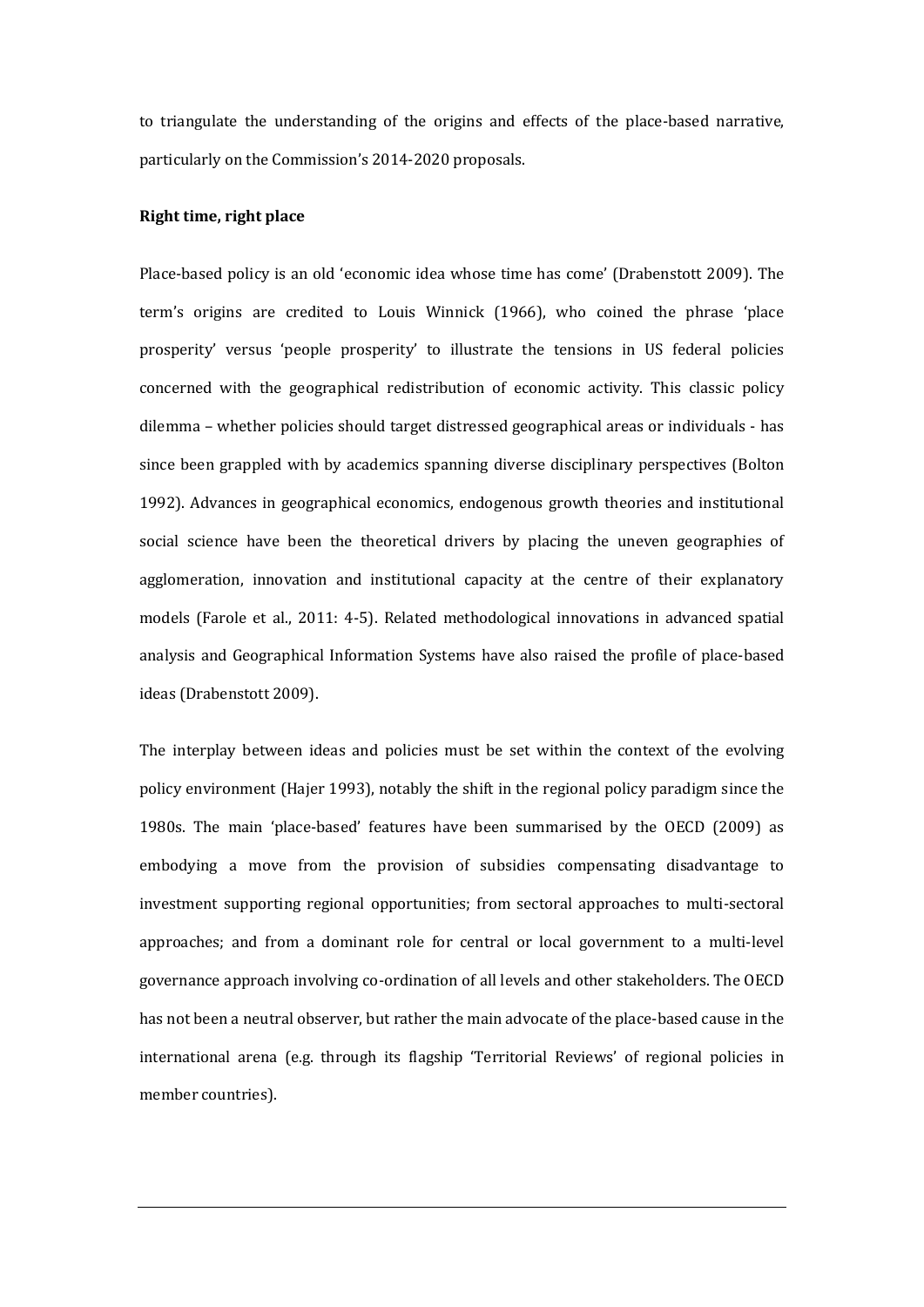to triangulate the understanding of the origins and effects of the place-based narrative, particularly on the Commission's 2014-2020 proposals.

# **Right time, right place**

Place-based policy is an old 'economic idea whose time has come' (Drabenstott 2009). The term's origins are credited to Louis Winnick (1966), who coined the phrase 'place prosperity' versus 'people prosperity' to illustrate the tensions in US federal policies concerned with the geographical redistribution of economic activity. This classic policy dilemma – whether policies should target distressed geographical areas or individuals - has since been grappled with by academics spanning diverse disciplinary perspectives (Bolton 1992). Advances in geographical economics, endogenous growth theories and institutional social science have been the theoretical drivers by placing the uneven geographies of agglomeration, innovation and institutional capacity at the centre of their explanatory models (Farole et al., 2011: 4-5). Related methodological innovations in advanced spatial analysis and Geographical Information Systems have also raised the profile of place-based ideas (Drabenstott 2009).

The interplay between ideas and policies must be set within the context of the evolving policy environment (Hajer 1993), notably the shift in the regional policy paradigm since the 1980s. The main 'place-based' features have been summarised by the OECD (2009) as embodying a move from the provision of subsidies compensating disadvantage to investment supporting regional opportunities; from sectoral approaches to multi-sectoral approaches; and from a dominant role for central or local government to a multi-level governance approach involving co-ordination of all levels and other stakeholders. The OECD has not been a neutral observer, but rather the main advocate of the place-based cause in the international arena (e.g. through its flagship 'Territorial Reviews' of regional policies in member countries).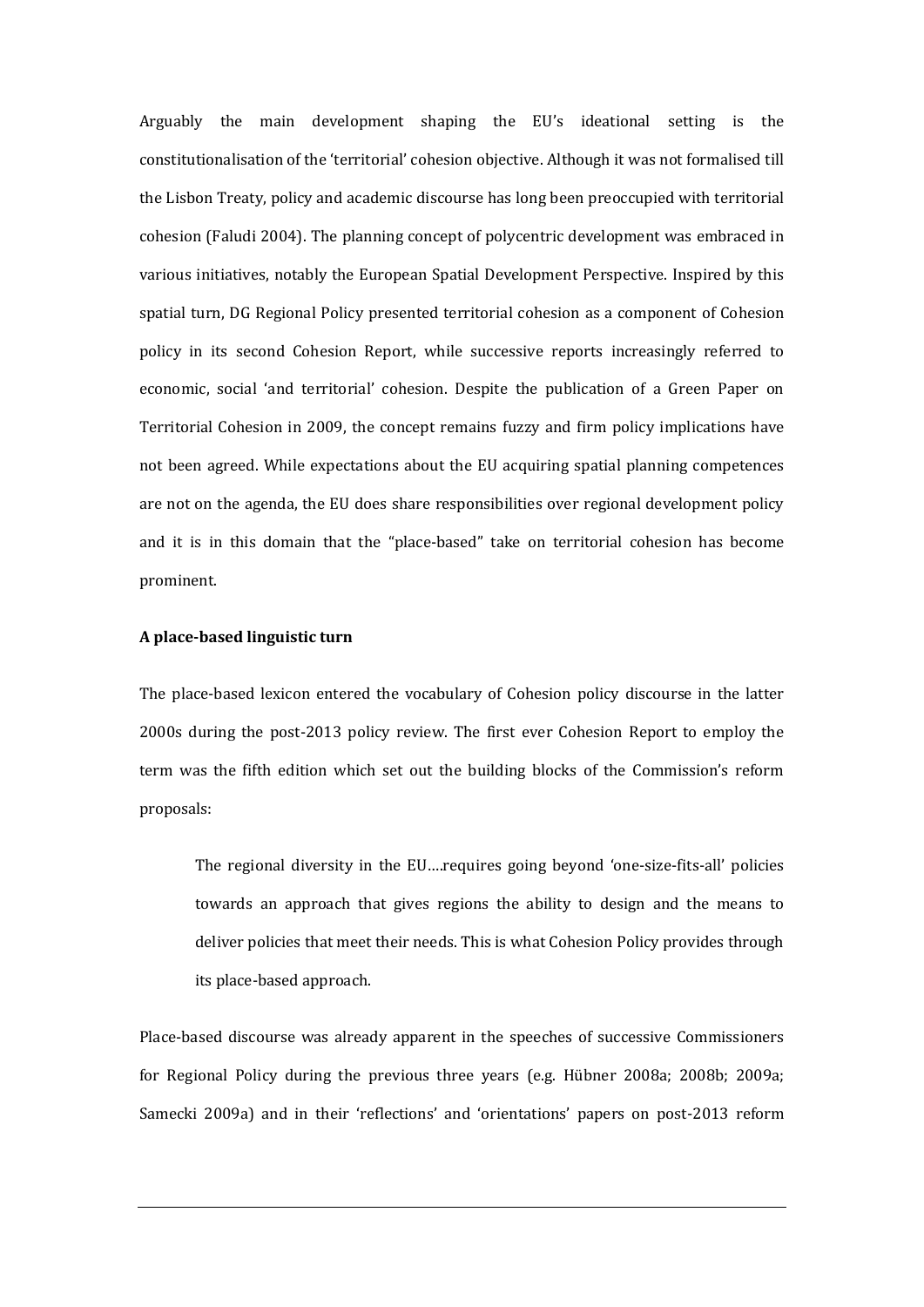Arguably the main development shaping the EU's ideational setting is the constitutionalisation of the 'territorial' cohesion objective. Although it was not formalised till the Lisbon Treaty, policy and academic discourse has long been preoccupied with territorial cohesion (Faludi 2004). The planning concept of polycentric development was embraced in various initiatives, notably the European Spatial Development Perspective. Inspired by this spatial turn, DG Regional Policy presented territorial cohesion as a component of Cohesion policy in its second Cohesion Report, while successive reports increasingly referred to economic, social 'and territorial' cohesion. Despite the publication of a Green Paper on Territorial Cohesion in 2009, the concept remains fuzzy and firm policy implications have not been agreed. While expectations about the EU acquiring spatial planning competences are not on the agenda, the EU does share responsibilities over regional development policy and it is in this domain that the "place-based" take on territorial cohesion has become prominent.

# **A place-based linguistic turn**

The place-based lexicon entered the vocabulary of Cohesion policy discourse in the latter 2000s during the post-2013 policy review. The first ever Cohesion Report to employ the term was the fifth edition which set out the building blocks of the Commission's reform proposals:

The regional diversity in the EU….requires going beyond 'one-size-fits-all' policies towards an approach that gives regions the ability to design and the means to deliver policies that meet their needs. This is what Cohesion Policy provides through its place-based approach.

Place-based discourse was already apparent in the speeches of successive Commissioners for Regional Policy during the previous three years (e.g. Hübner 2008a; 2008b; 2009a; Samecki 2009a) and in their 'reflections' and 'orientations' papers on post-2013 reform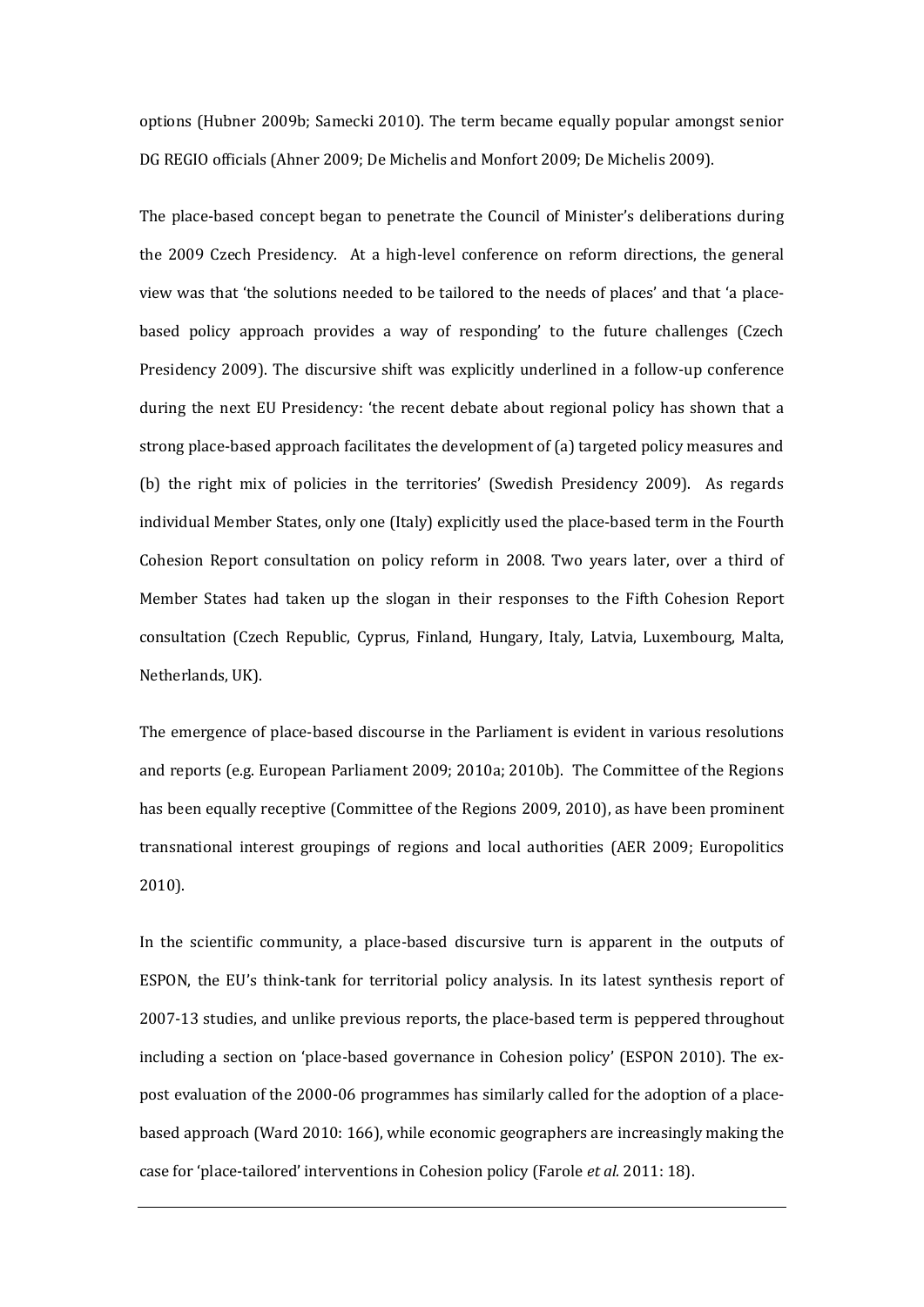options (Hubner 2009b; Samecki 2010). The term became equally popular amongst senior DG REGIO officials (Ahner 2009; De Michelis and Monfort 2009; De Michelis 2009).

The place-based concept began to penetrate the Council of Minister's deliberations during the 2009 Czech Presidency. At a high-level conference on reform directions, the general view was that 'the solutions needed to be tailored to the needs of places' and that 'a placebased policy approach provides a way of responding' to the future challenges (Czech Presidency 2009). The discursive shift was explicitly underlined in a follow-up conference during the next EU Presidency: 'the recent debate about regional policy has shown that a strong place-based approach facilitates the development of (a) targeted policy measures and (b) the right mix of policies in the territories' (Swedish Presidency 2009). As regards individual Member States, only one (Italy) explicitly used the place-based term in the Fourth Cohesion Report consultation on policy reform in 2008. Two years later, over a third of Member States had taken up the slogan in their responses to the Fifth Cohesion Report consultation (Czech Republic, Cyprus, Finland, Hungary, Italy, Latvia, Luxembourg, Malta, Netherlands, UK).

The emergence of place-based discourse in the Parliament is evident in various resolutions and reports (e.g. European Parliament 2009; 2010a; 2010b). The Committee of the Regions has been equally receptive (Committee of the Regions 2009, 2010), as have been prominent transnational interest groupings of regions and local authorities (AER 2009; Europolitics 2010).

In the scientific community, a place-based discursive turn is apparent in the outputs of ESPON, the EU's think-tank for territorial policy analysis. In its latest synthesis report of 2007-13 studies, and unlike previous reports, the place-based term is peppered throughout including a section on 'place-based governance in Cohesion policy' (ESPON 2010). The expost evaluation of the 2000-06 programmes has similarly called for the adoption of a placebased approach (Ward 2010: 166), while economic geographers are increasingly making the case for 'place-tailored' interventions in Cohesion policy (Farole *et al.* 2011: 18).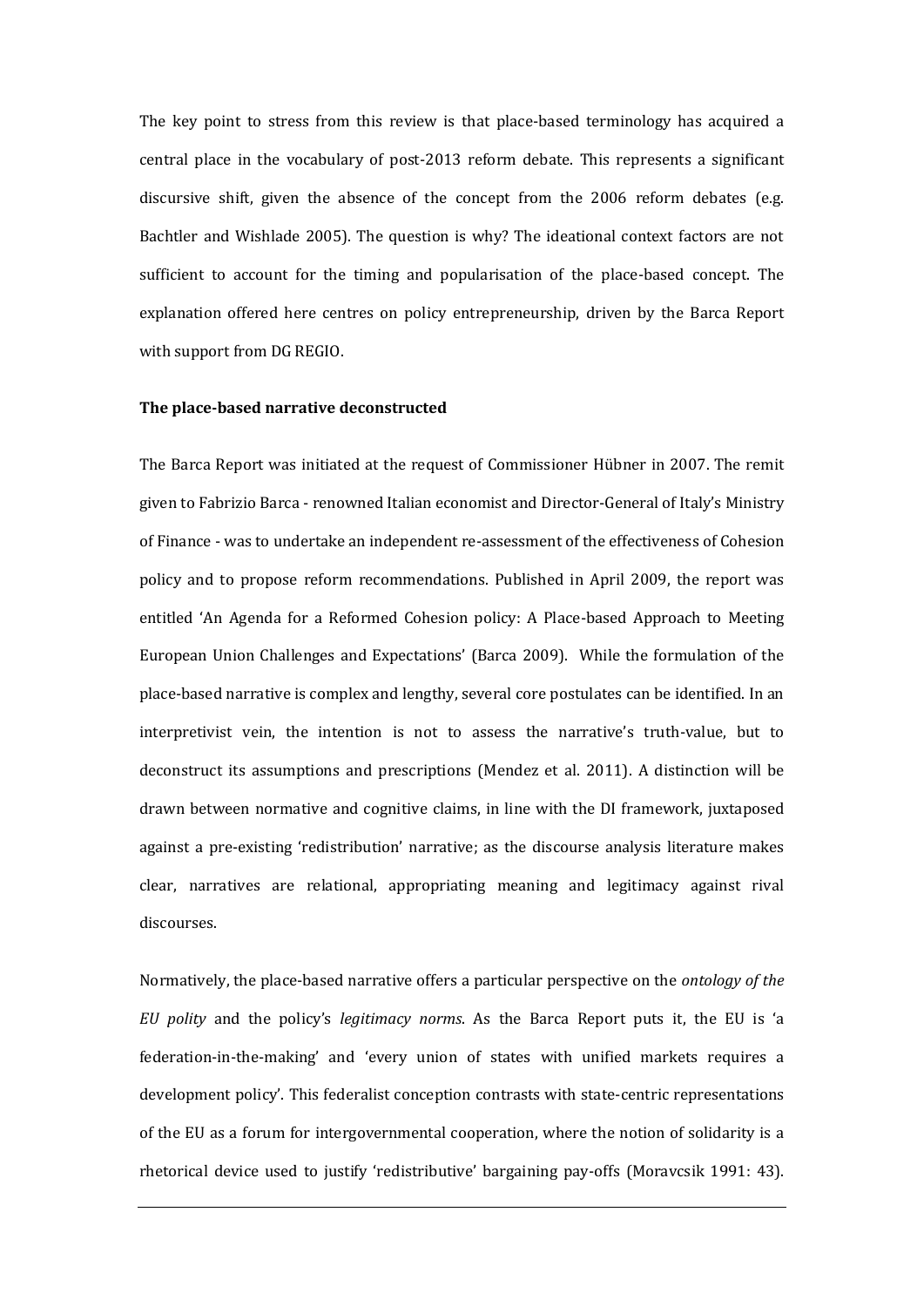The key point to stress from this review is that place-based terminology has acquired a central place in the vocabulary of post-2013 reform debate. This represents a significant discursive shift, given the absence of the concept from the 2006 reform debates (e.g. Bachtler and Wishlade 2005). The question is why? The ideational context factors are not sufficient to account for the timing and popularisation of the place-based concept. The explanation offered here centres on policy entrepreneurship, driven by the Barca Report with support from DG REGIO.

### **The place-based narrative deconstructed**

The Barca Report was initiated at the request of Commissioner Hübner in 2007. The remit given to Fabrizio Barca - renowned Italian economist and Director-General of Italy's Ministry of Finance - was to undertake an independent re-assessment of the effectiveness of Cohesion policy and to propose reform recommendations. Published in April 2009, the report was entitled 'An Agenda for a Reformed Cohesion policy: A Place-based Approach to Meeting European Union Challenges and Expectations' (Barca 2009). While the formulation of the place-based narrative is complex and lengthy, several core postulates can be identified. In an interpretivist vein, the intention is not to assess the narrative's truth-value, but to deconstruct its assumptions and prescriptions (Mendez et al. 2011). A distinction will be drawn between normative and cognitive claims, in line with the DI framework, juxtaposed against a pre-existing 'redistribution' narrative; as the discourse analysis literature makes clear, narratives are relational, appropriating meaning and legitimacy against rival discourses.

Normatively, the place-based narrative offers a particular perspective on the *ontology of the EU polity* and the policy's *legitimacy norms*. As the Barca Report puts it, the EU is 'a federation-in-the-making' and 'every union of states with unified markets requires a development policy'. This federalist conception contrasts with state-centric representations of the EU as a forum for intergovernmental cooperation, where the notion of solidarity is a rhetorical device used to justify 'redistributive' bargaining pay-offs (Moravcsik 1991: 43).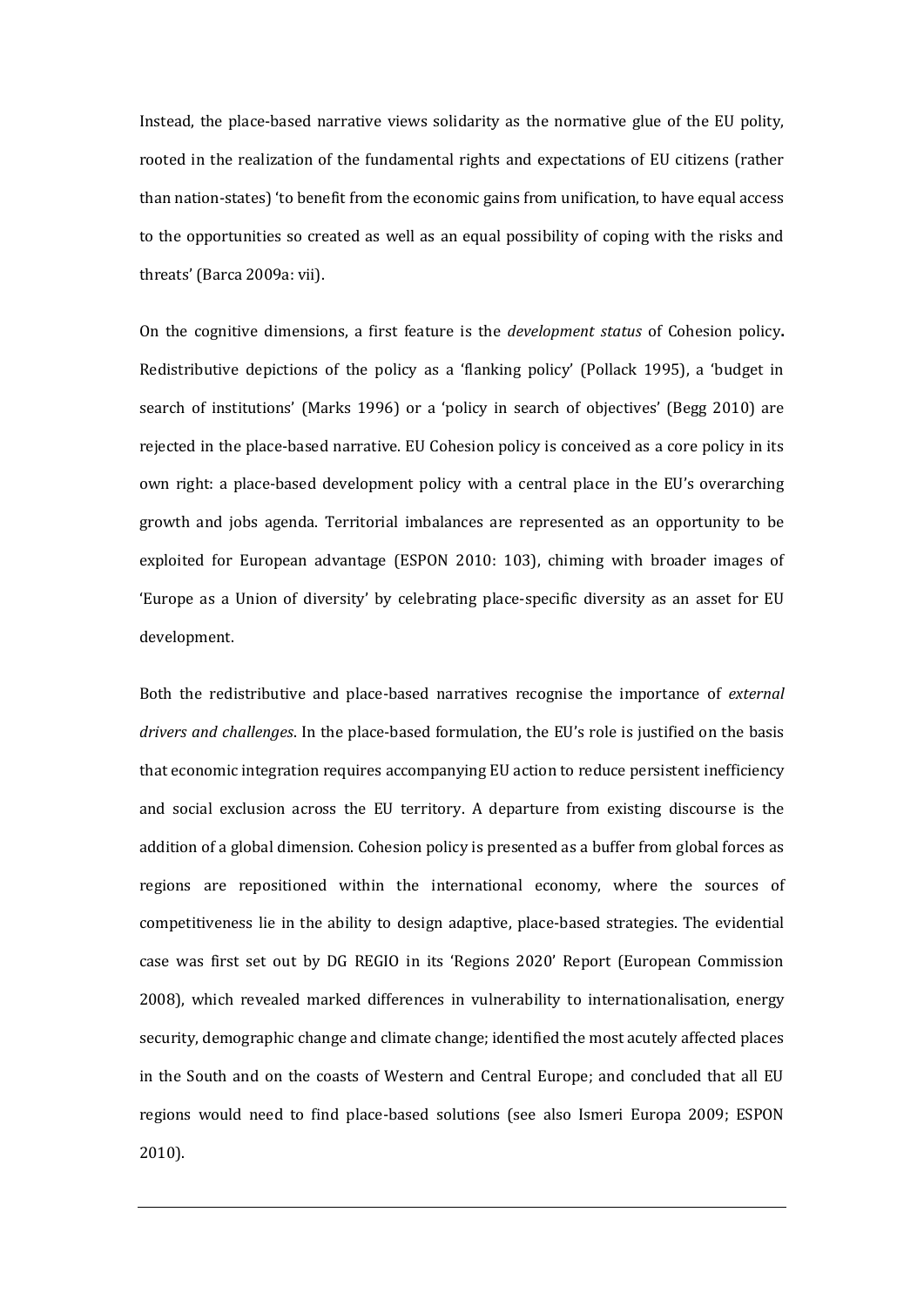Instead, the place-based narrative views solidarity as the normative glue of the EU polity, rooted in the realization of the fundamental rights and expectations of EU citizens (rather than nation-states) 'to benefit from the economic gains from unification, to have equal access to the opportunities so created as well as an equal possibility of coping with the risks and threats' (Barca 2009a: vii).

On the cognitive dimensions, a first feature is the *development status* of Cohesion policy**.** Redistributive depictions of the policy as a 'flanking policy' (Pollack 1995), a 'budget in search of institutions' (Marks 1996) or a 'policy in search of objectives' (Begg 2010) are rejected in the place-based narrative. EU Cohesion policy is conceived as a core policy in its own right: a place-based development policy with a central place in the EU's overarching growth and jobs agenda. Territorial imbalances are represented as an opportunity to be exploited for European advantage (ESPON 2010: 103), chiming with broader images of 'Europe as a Union of diversity' by celebrating place-specific diversity as an asset for EU development.

Both the redistributive and place-based narratives recognise the importance of *external drivers and challenges*. In the place-based formulation, the EU's role is justified on the basis that economic integration requires accompanying EU action to reduce persistent inefficiency and social exclusion across the EU territory. A departure from existing discourse is the addition of a global dimension. Cohesion policy is presented as a buffer from global forces as regions are repositioned within the international economy, where the sources of competitiveness lie in the ability to design adaptive, place-based strategies. The evidential case was first set out by DG REGIO in its 'Regions 2020' Report (European Commission 2008), which revealed marked differences in vulnerability to internationalisation, energy security, demographic change and climate change; identified the most acutely affected places in the South and on the coasts of Western and Central Europe; and concluded that all EU regions would need to find place-based solutions (see also Ismeri Europa 2009; ESPON 2010).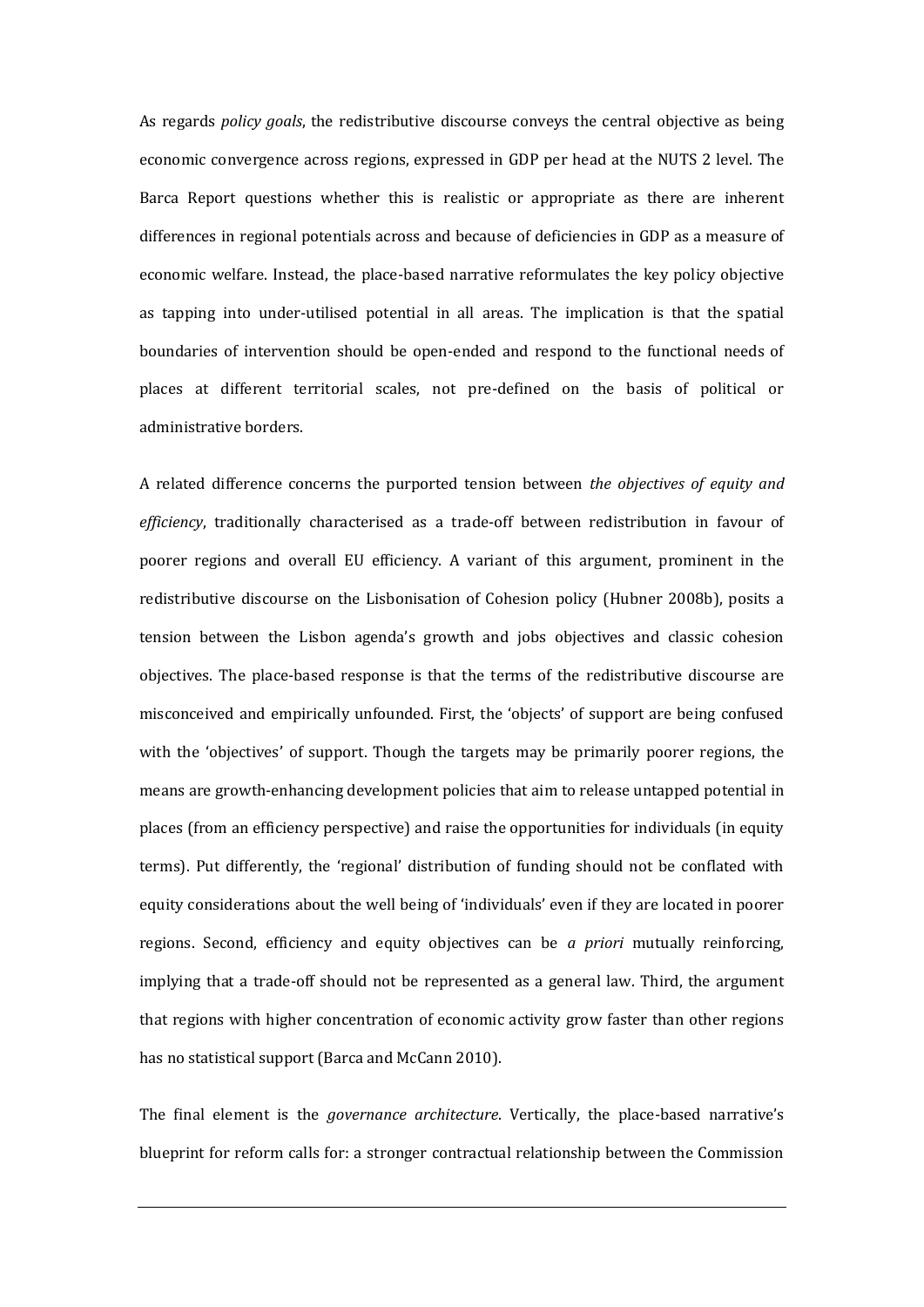As regards *policy goals*, the redistributive discourse conveys the central objective as being economic convergence across regions, expressed in GDP per head at the NUTS 2 level. The Barca Report questions whether this is realistic or appropriate as there are inherent differences in regional potentials across and because of deficiencies in GDP as a measure of economic welfare. Instead, the place-based narrative reformulates the key policy objective as tapping into under-utilised potential in all areas. The implication is that the spatial boundaries of intervention should be open-ended and respond to the functional needs of places at different territorial scales, not pre-defined on the basis of political or administrative borders.

A related difference concerns the purported tension between *the objectives of equity and efficiency*, traditionally characterised as a trade-off between redistribution in favour of poorer regions and overall EU efficiency. A variant of this argument, prominent in the redistributive discourse on the Lisbonisation of Cohesion policy (Hubner 2008b), posits a tension between the Lisbon agenda's growth and jobs objectives and classic cohesion objectives. The place-based response is that the terms of the redistributive discourse are misconceived and empirically unfounded. First, the 'objects' of support are being confused with the 'objectives' of support. Though the targets may be primarily poorer regions, the means are growth-enhancing development policies that aim to release untapped potential in places (from an efficiency perspective) and raise the opportunities for individuals (in equity terms). Put differently, the 'regional' distribution of funding should not be conflated with equity considerations about the well being of 'individuals' even if they are located in poorer regions. Second, efficiency and equity objectives can be *a priori* mutually reinforcing, implying that a trade-off should not be represented as a general law. Third, the argument that regions with higher concentration of economic activity grow faster than other regions has no statistical support (Barca and McCann 2010).

The final element is the *governance architecture*. Vertically, the place-based narrative's blueprint for reform calls for: a stronger contractual relationship between the Commission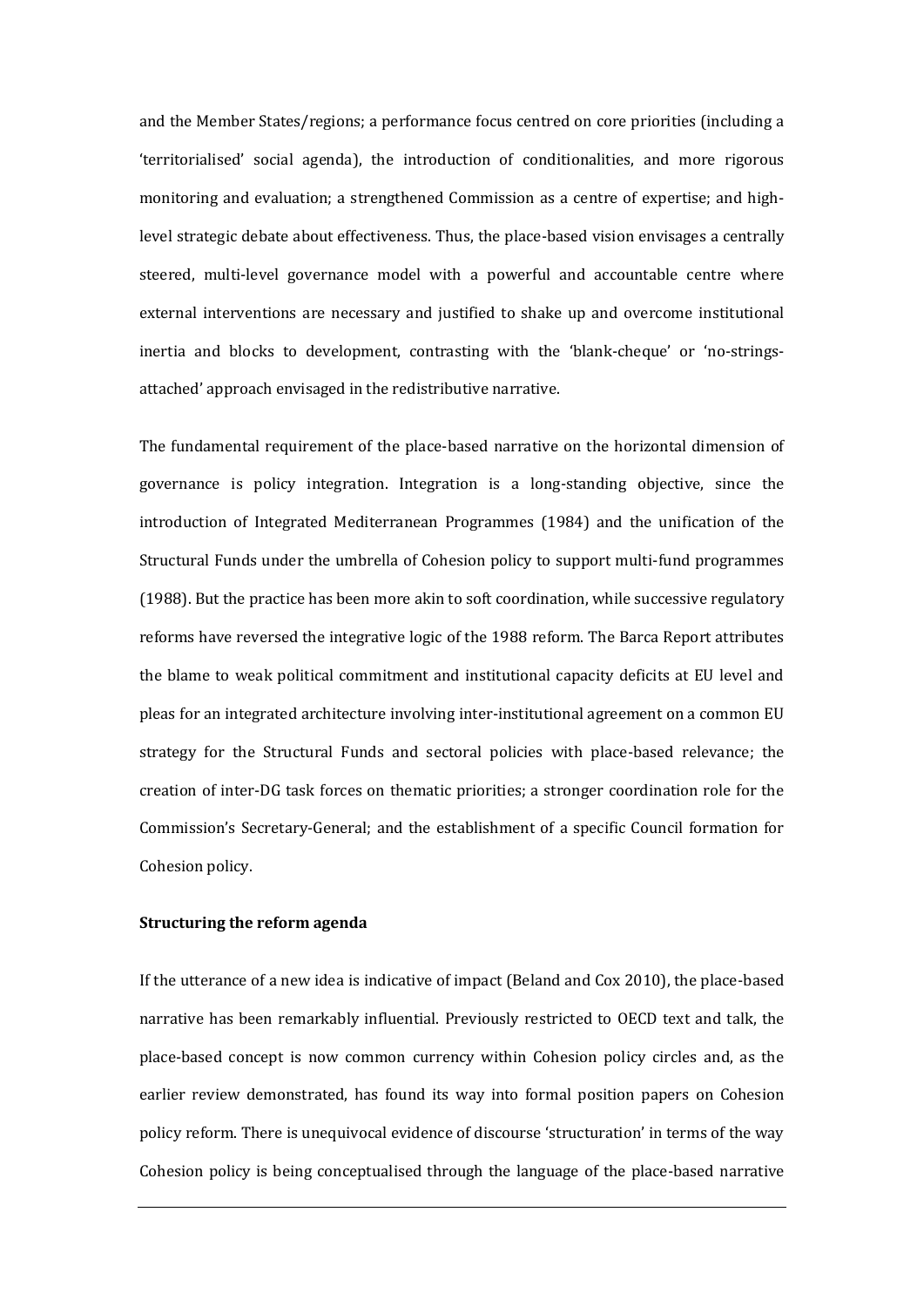and the Member States/regions; a performance focus centred on core priorities (including a 'territorialised' social agenda), the introduction of conditionalities, and more rigorous monitoring and evaluation; a strengthened Commission as a centre of expertise; and highlevel strategic debate about effectiveness. Thus, the place-based vision envisages a centrally steered, multi-level governance model with a powerful and accountable centre where external interventions are necessary and justified to shake up and overcome institutional inertia and blocks to development, contrasting with the 'blank-cheque' or 'no-stringsattached' approach envisaged in the redistributive narrative.

The fundamental requirement of the place-based narrative on the horizontal dimension of governance is policy integration. Integration is a long-standing objective, since the introduction of Integrated Mediterranean Programmes (1984) and the unification of the Structural Funds under the umbrella of Cohesion policy to support multi-fund programmes (1988). But the practice has been more akin to soft coordination, while successive regulatory reforms have reversed the integrative logic of the 1988 reform. The Barca Report attributes the blame to weak political commitment and institutional capacity deficits at EU level and pleas for an integrated architecture involving inter-institutional agreement on a common EU strategy for the Structural Funds and sectoral policies with place-based relevance; the creation of inter-DG task forces on thematic priorities; a stronger coordination role for the Commission's Secretary-General; and the establishment of a specific Council formation for Cohesion policy.

## **Structuring the reform agenda**

If the utterance of a new idea is indicative of impact (Beland and Cox 2010), the place-based narrative has been remarkably influential. Previously restricted to OECD text and talk, the place-based concept is now common currency within Cohesion policy circles and, as the earlier review demonstrated, has found its way into formal position papers on Cohesion policy reform. There is unequivocal evidence of discourse 'structuration' in terms of the way Cohesion policy is being conceptualised through the language of the place-based narrative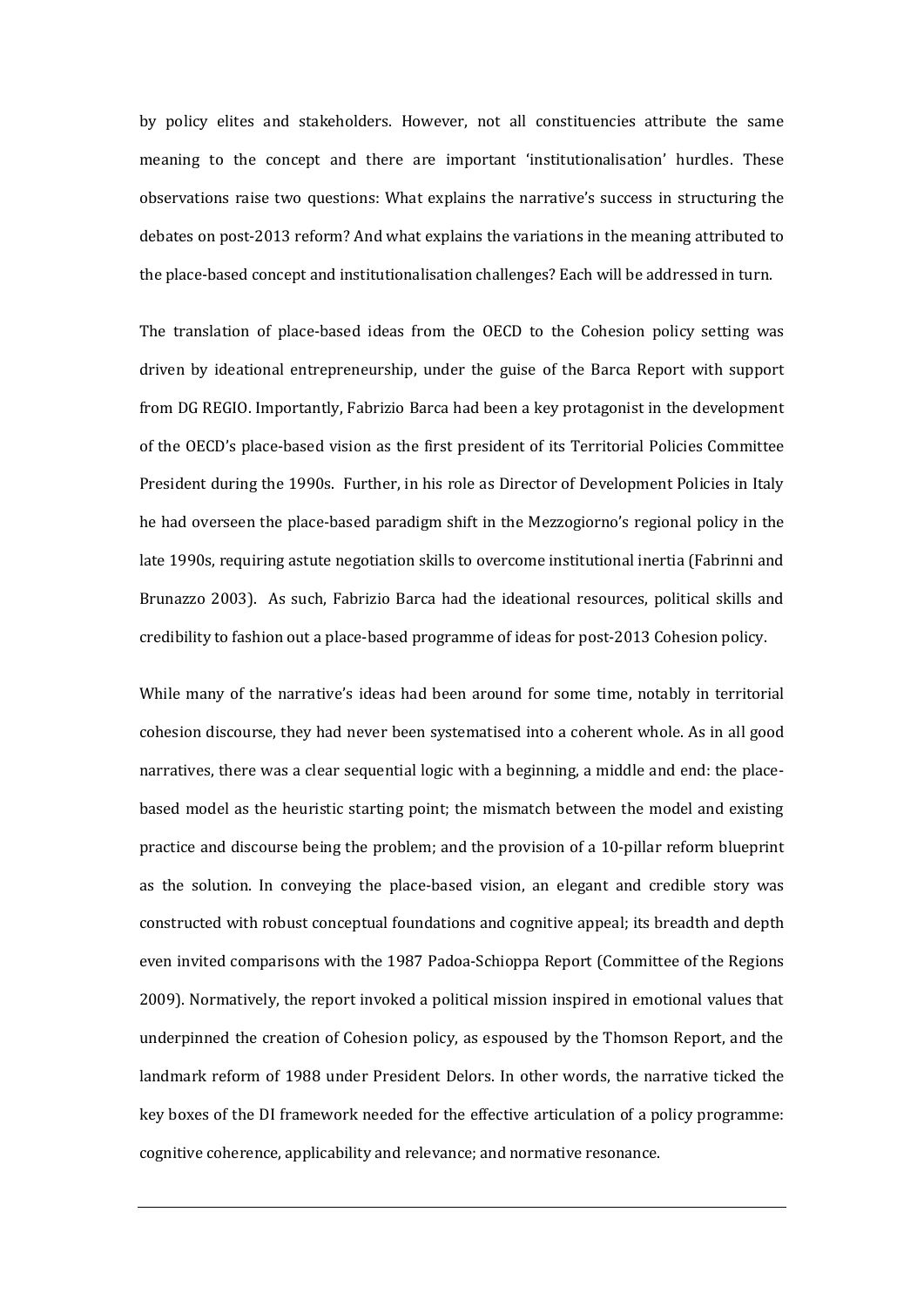by policy elites and stakeholders. However, not all constituencies attribute the same meaning to the concept and there are important 'institutionalisation' hurdles. These observations raise two questions: What explains the narrative's success in structuring the debates on post-2013 reform? And what explains the variations in the meaning attributed to the place-based concept and institutionalisation challenges? Each will be addressed in turn.

The translation of place-based ideas from the OECD to the Cohesion policy setting was driven by ideational entrepreneurship, under the guise of the Barca Report with support from DG REGIO. Importantly, Fabrizio Barca had been a key protagonist in the development of the OECD's place-based vision as the first president of its Territorial Policies Committee President during the 1990s. Further, in his role as Director of Development Policies in Italy he had overseen the place-based paradigm shift in the Mezzogiorno's regional policy in the late 1990s, requiring astute negotiation skills to overcome institutional inertia (Fabrinni and Brunazzo 2003). As such, Fabrizio Barca had the ideational resources, political skills and credibility to fashion out a place-based programme of ideas for post-2013 Cohesion policy.

While many of the narrative's ideas had been around for some time, notably in territorial cohesion discourse, they had never been systematised into a coherent whole. As in all good narratives, there was a clear sequential logic with a beginning, a middle and end: the placebased model as the heuristic starting point; the mismatch between the model and existing practice and discourse being the problem; and the provision of a 10-pillar reform blueprint as the solution. In conveying the place-based vision, an elegant and credible story was constructed with robust conceptual foundations and cognitive appeal; its breadth and depth even invited comparisons with the 1987 Padoa-Schioppa Report (Committee of the Regions 2009). Normatively, the report invoked a political mission inspired in emotional values that underpinned the creation of Cohesion policy, as espoused by the Thomson Report, and the landmark reform of 1988 under President Delors. In other words, the narrative ticked the key boxes of the DI framework needed for the effective articulation of a policy programme: cognitive coherence, applicability and relevance; and normative resonance.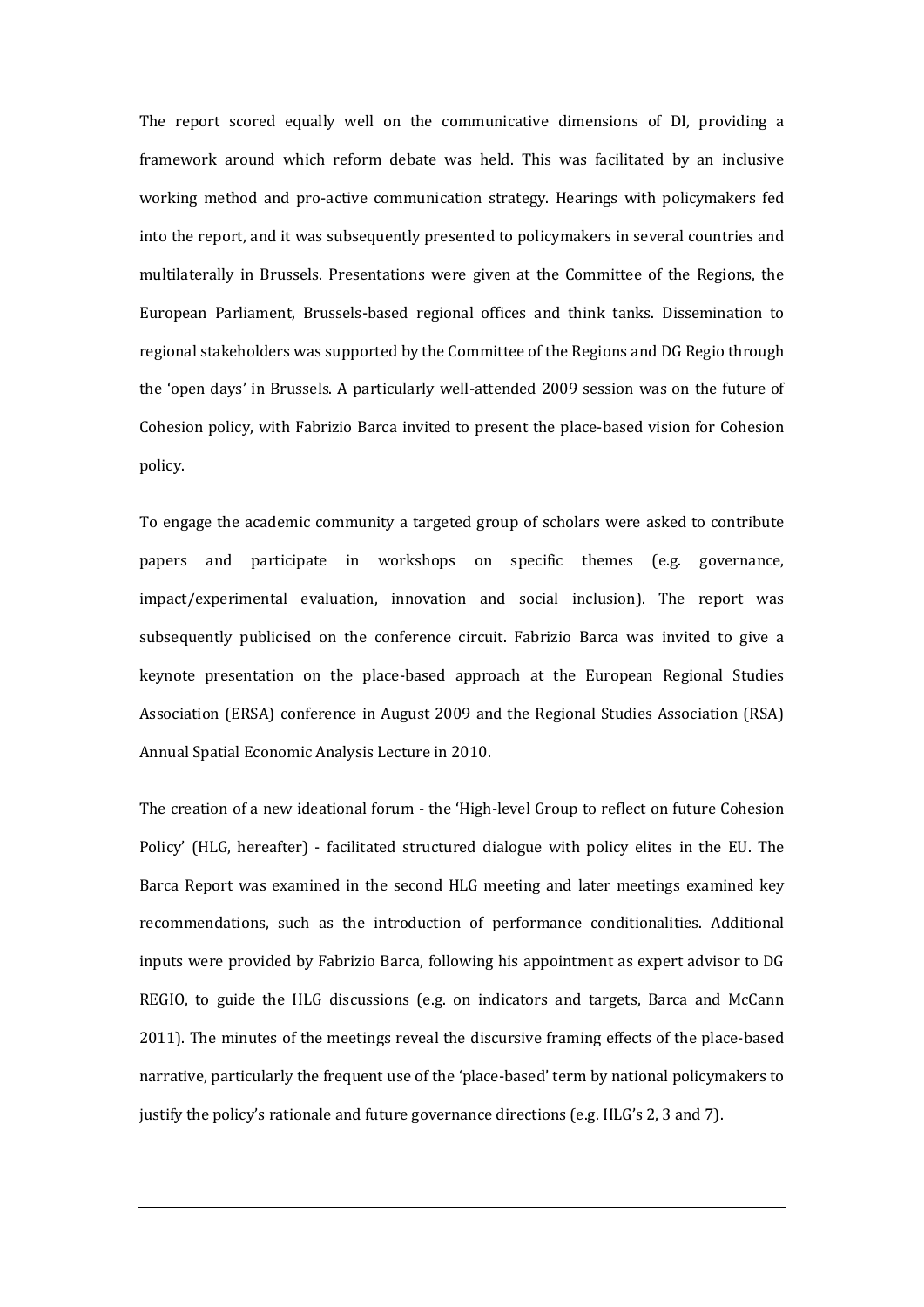The report scored equally well on the communicative dimensions of DI, providing a framework around which reform debate was held. This was facilitated by an inclusive working method and pro-active communication strategy. Hearings with policymakers fed into the report, and it was subsequently presented to policymakers in several countries and multilaterally in Brussels. Presentations were given at the Committee of the Regions, the European Parliament, Brussels-based regional offices and think tanks. Dissemination to regional stakeholders was supported by the Committee of the Regions and DG Regio through the 'open days' in Brussels. A particularly well-attended 2009 session was on the future of Cohesion policy, with Fabrizio Barca invited to present the place-based vision for Cohesion policy.

To engage the academic community a targeted group of scholars were asked to contribute papers and participate in workshops on specific themes (e.g. governance, impact/experimental evaluation, innovation and social inclusion). The report was subsequently publicised on the conference circuit. Fabrizio Barca was invited to give a keynote presentation on the place-based approach at the European Regional Studies Association (ERSA) conference in August 2009 and the Regional Studies Association (RSA) Annual Spatial Economic Analysis Lecture in 2010.

The creation of a new ideational forum - the 'High-level Group to reflect on future Cohesion Policy' (HLG, hereafter) - facilitated structured dialogue with policy elites in the EU. The Barca Report was examined in the second HLG meeting and later meetings examined key recommendations, such as the introduction of performance conditionalities. Additional inputs were provided by Fabrizio Barca, following his appointment as expert advisor to DG REGIO, to guide the HLG discussions (e.g. on indicators and targets, Barca and McCann 2011). The minutes of the meetings reveal the discursive framing effects of the place-based narrative, particularly the frequent use of the 'place-based' term by national policymakers to justify the policy's rationale and future governance directions (e.g. HLG's 2, 3 and 7).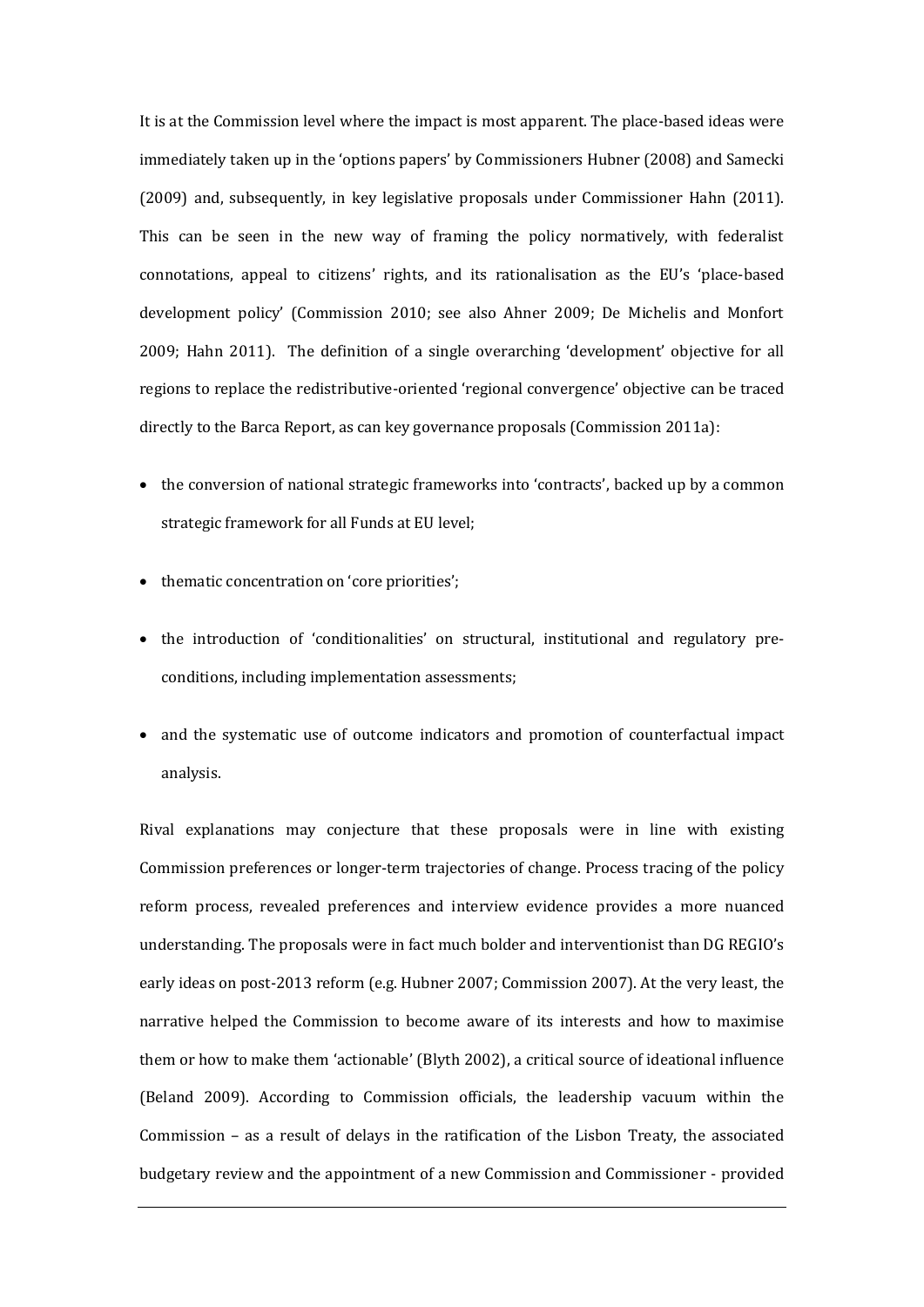It is at the Commission level where the impact is most apparent. The place-based ideas were immediately taken up in the 'options papers' by Commissioners Hubner (2008) and Samecki (2009) and, subsequently, in key legislative proposals under Commissioner Hahn (2011). This can be seen in the new way of framing the policy normatively, with federalist connotations, appeal to citizens' rights, and its rationalisation as the EU's 'place-based development policy' (Commission 2010; see also Ahner 2009; De Michelis and Monfort 2009; Hahn 2011). The definition of a single overarching 'development' objective for all regions to replace the redistributive-oriented 'regional convergence' objective can be traced directly to the Barca Report, as can key governance proposals (Commission 2011a):

- the conversion of national strategic frameworks into 'contracts', backed up by a common strategic framework for all Funds at EU level;
- thematic concentration on 'core priorities';
- the introduction of 'conditionalities' on structural, institutional and regulatory preconditions, including implementation assessments;
- and the systematic use of outcome indicators and promotion of counterfactual impact analysis.

Rival explanations may conjecture that these proposals were in line with existing Commission preferences or longer-term trajectories of change. Process tracing of the policy reform process, revealed preferences and interview evidence provides a more nuanced understanding. The proposals were in fact much bolder and interventionist than DG REGIO's early ideas on post-2013 reform (e.g. Hubner 2007; Commission 2007). At the very least, the narrative helped the Commission to become aware of its interests and how to maximise them or how to make them 'actionable' (Blyth 2002), a critical source of ideational influence (Beland 2009). According to Commission officials, the leadership vacuum within the Commission – as a result of delays in the ratification of the Lisbon Treaty, the associated budgetary review and the appointment of a new Commission and Commissioner - provided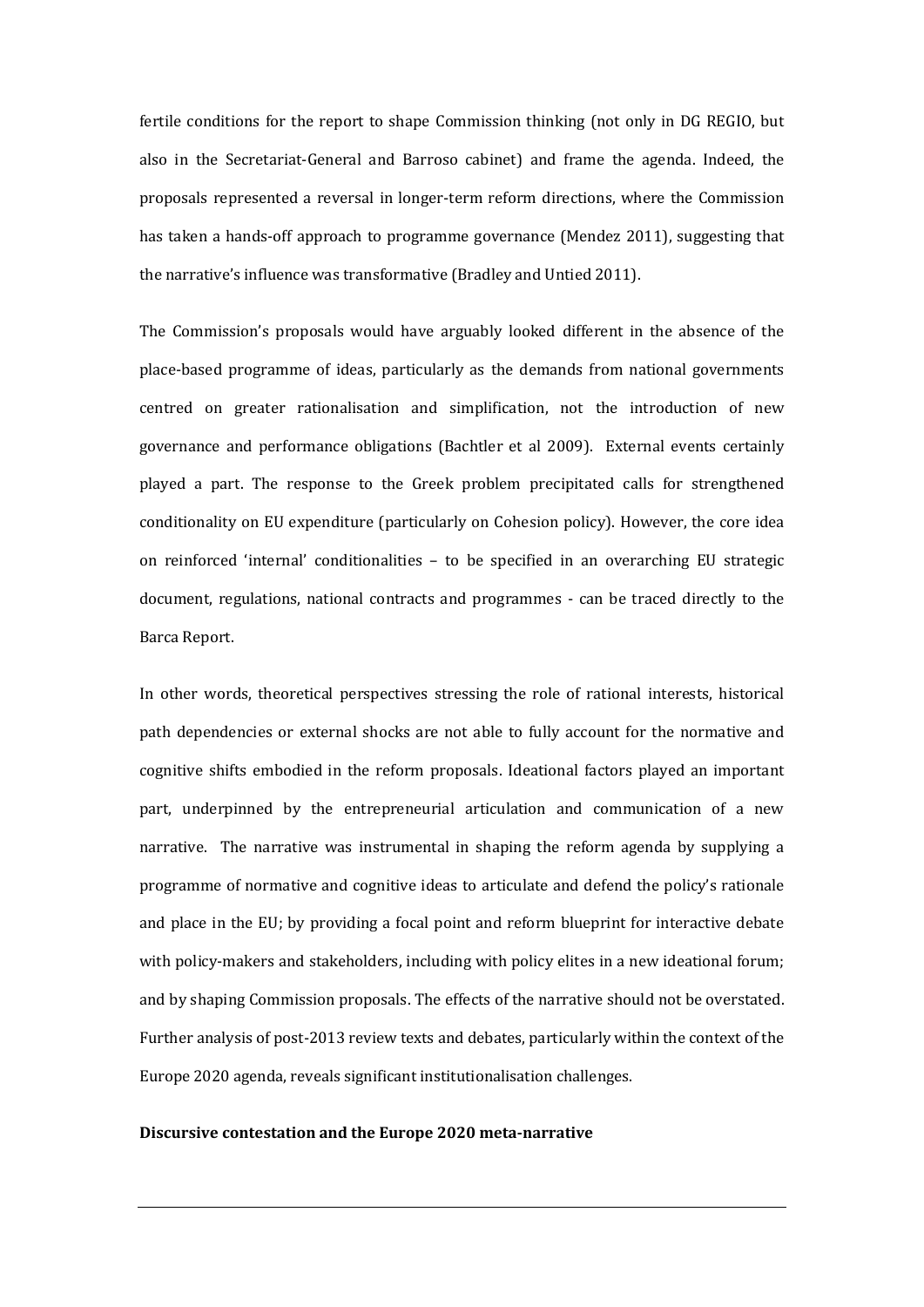fertile conditions for the report to shape Commission thinking (not only in DG REGIO, but also in the Secretariat-General and Barroso cabinet) and frame the agenda. Indeed, the proposals represented a reversal in longer-term reform directions, where the Commission has taken a hands-off approach to programme governance (Mendez 2011), suggesting that the narrative's influence was transformative (Bradley and Untied 2011).

The Commission's proposals would have arguably looked different in the absence of the place-based programme of ideas, particularly as the demands from national governments centred on greater rationalisation and simplification, not the introduction of new governance and performance obligations (Bachtler et al 2009). External events certainly played a part. The response to the Greek problem precipitated calls for strengthened conditionality on EU expenditure (particularly on Cohesion policy). However, the core idea on reinforced 'internal' conditionalities – to be specified in an overarching EU strategic document, regulations, national contracts and programmes - can be traced directly to the Barca Report.

In other words, theoretical perspectives stressing the role of rational interests, historical path dependencies or external shocks are not able to fully account for the normative and cognitive shifts embodied in the reform proposals. Ideational factors played an important part, underpinned by the entrepreneurial articulation and communication of a new narrative. The narrative was instrumental in shaping the reform agenda by supplying a programme of normative and cognitive ideas to articulate and defend the policy's rationale and place in the EU; by providing a focal point and reform blueprint for interactive debate with policy-makers and stakeholders, including with policy elites in a new ideational forum; and by shaping Commission proposals. The effects of the narrative should not be overstated. Further analysis of post-2013 review texts and debates, particularly within the context of the Europe 2020 agenda, reveals significant institutionalisation challenges.

### **Discursive contestation and the Europe 2020 meta-narrative**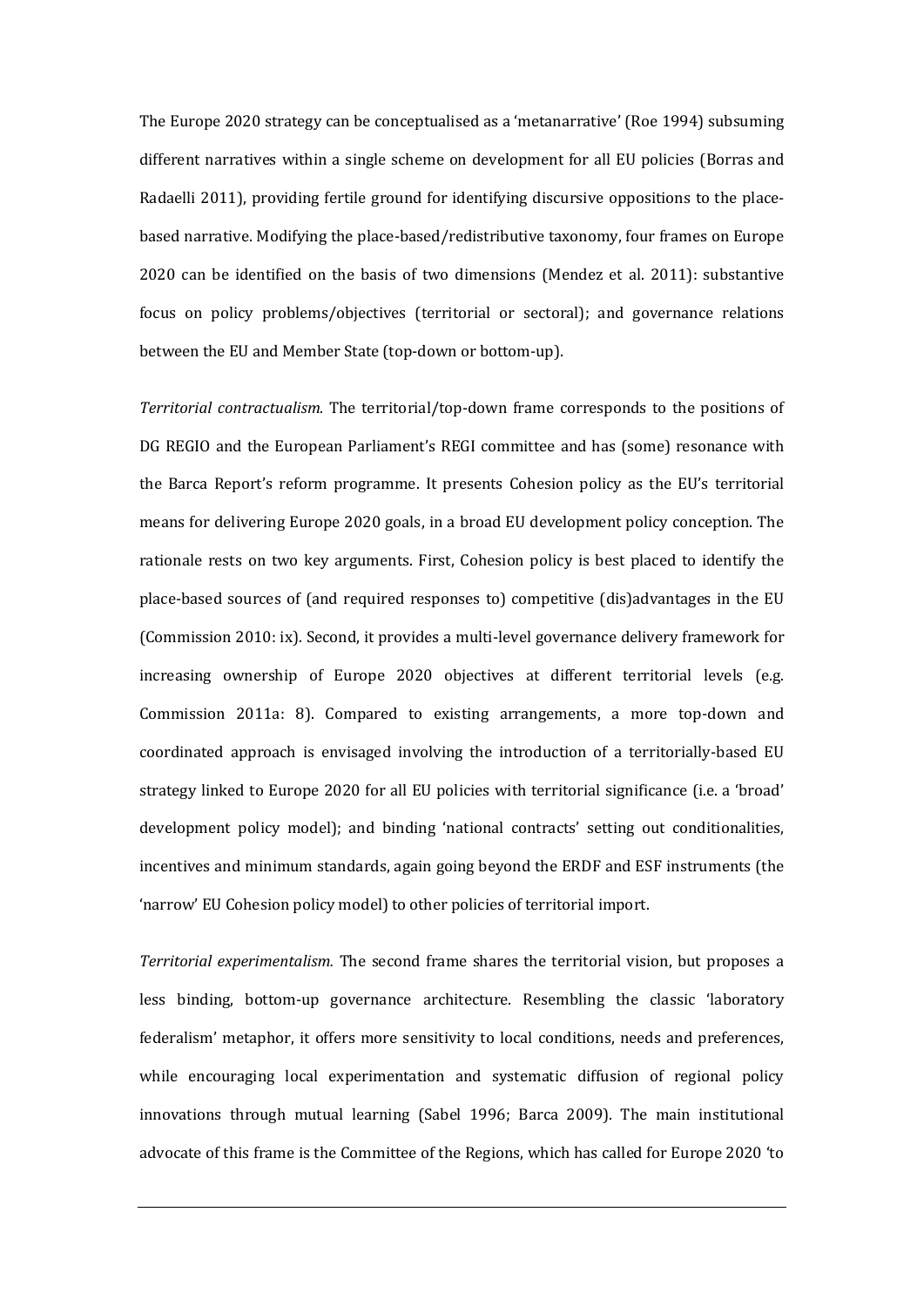The Europe 2020 strategy can be conceptualised as a 'metanarrative' (Roe 1994) subsuming different narratives within a single scheme on development for all EU policies (Borras and Radaelli 2011), providing fertile ground for identifying discursive oppositions to the placebased narrative. Modifying the place-based/redistributive taxonomy, four frames on Europe 2020 can be identified on the basis of two dimensions (Mendez et al. 2011): substantive focus on policy problems/objectives (territorial or sectoral); and governance relations between the EU and Member State (top-down or bottom-up).

*Territorial contractualism.* The territorial/top-down frame corresponds to the positions of DG REGIO and the European Parliament's REGI committee and has (some) resonance with the Barca Report's reform programme. It presents Cohesion policy as the EU's territorial means for delivering Europe 2020 goals, in a broad EU development policy conception. The rationale rests on two key arguments. First, Cohesion policy is best placed to identify the place-based sources of (and required responses to) competitive (dis)advantages in the EU (Commission 2010: ix). Second, it provides a multi-level governance delivery framework for increasing ownership of Europe 2020 objectives at different territorial levels (e.g. Commission 2011a: 8). Compared to existing arrangements, a more top-down and coordinated approach is envisaged involving the introduction of a territorially-based EU strategy linked to Europe 2020 for all EU policies with territorial significance (i.e. a 'broad' development policy model); and binding 'national contracts' setting out conditionalities, incentives and minimum standards, again going beyond the ERDF and ESF instruments (the 'narrow' EU Cohesion policy model) to other policies of territorial import.

*Territorial experimentalism.* The second frame shares the territorial vision, but proposes a less binding, bottom-up governance architecture. Resembling the classic 'laboratory federalism' metaphor, it offers more sensitivity to local conditions, needs and preferences, while encouraging local experimentation and systematic diffusion of regional policy innovations through mutual learning (Sabel 1996; Barca 2009). The main institutional advocate of this frame is the Committee of the Regions, which has called for Europe 2020 'to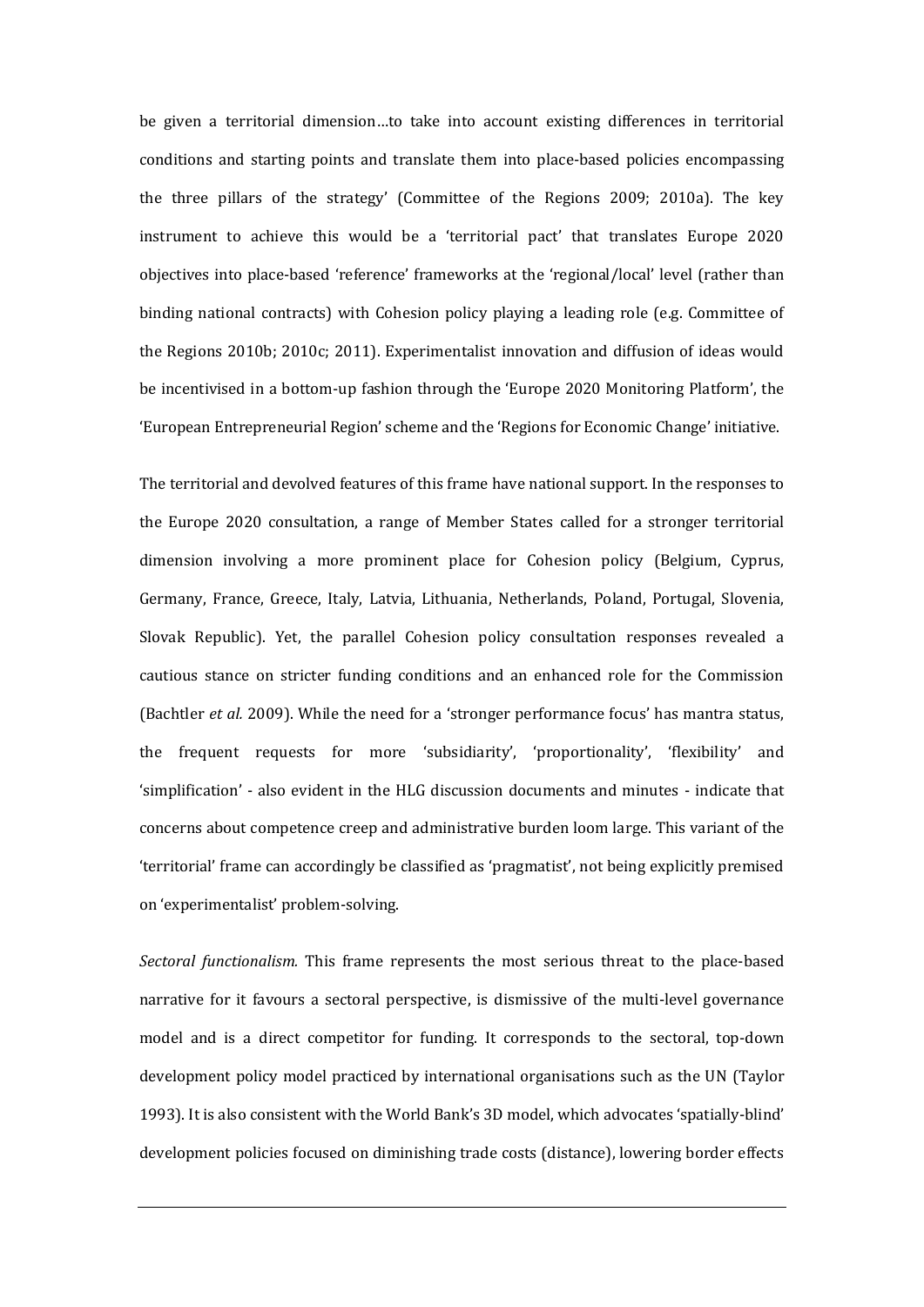be given a territorial dimension…to take into account existing differences in territorial conditions and starting points and translate them into place-based policies encompassing the three pillars of the strategy' (Committee of the Regions 2009; 2010a). The key instrument to achieve this would be a 'territorial pact' that translates Europe 2020 objectives into place-based 'reference' frameworks at the 'regional/local' level (rather than binding national contracts) with Cohesion policy playing a leading role (e.g. Committee of the Regions 2010b; 2010c; 2011). Experimentalist innovation and diffusion of ideas would be incentivised in a bottom-up fashion through the 'Europe 2020 Monitoring Platform', the 'European Entrepreneurial Region' scheme and the 'Regions for Economic Change' initiative.

The territorial and devolved features of this frame have national support. In the responses to the Europe 2020 consultation, a range of Member States called for a stronger territorial dimension involving a more prominent place for Cohesion policy (Belgium, Cyprus, Germany, France, Greece, Italy, Latvia, Lithuania, Netherlands, Poland, Portugal, Slovenia, Slovak Republic). Yet, the parallel Cohesion policy consultation responses revealed a cautious stance on stricter funding conditions and an enhanced role for the Commission (Bachtler *et al.* 2009). While the need for a 'stronger performance focus' has mantra status, the frequent requests for more 'subsidiarity', 'proportionality', 'flexibility' and 'simplification' - also evident in the HLG discussion documents and minutes - indicate that concerns about competence creep and administrative burden loom large. This variant of the 'territorial' frame can accordingly be classified as 'pragmatist', not being explicitly premised on 'experimentalist' problem-solving.

*Sectoral functionalism.* This frame represents the most serious threat to the place-based narrative for it favours a sectoral perspective, is dismissive of the multi-level governance model and is a direct competitor for funding. It corresponds to the sectoral, top-down development policy model practiced by international organisations such as the UN (Taylor 1993). It is also consistent with the World Bank's 3D model, which advocates 'spatially-blind' development policies focused on diminishing trade costs (distance), lowering border effects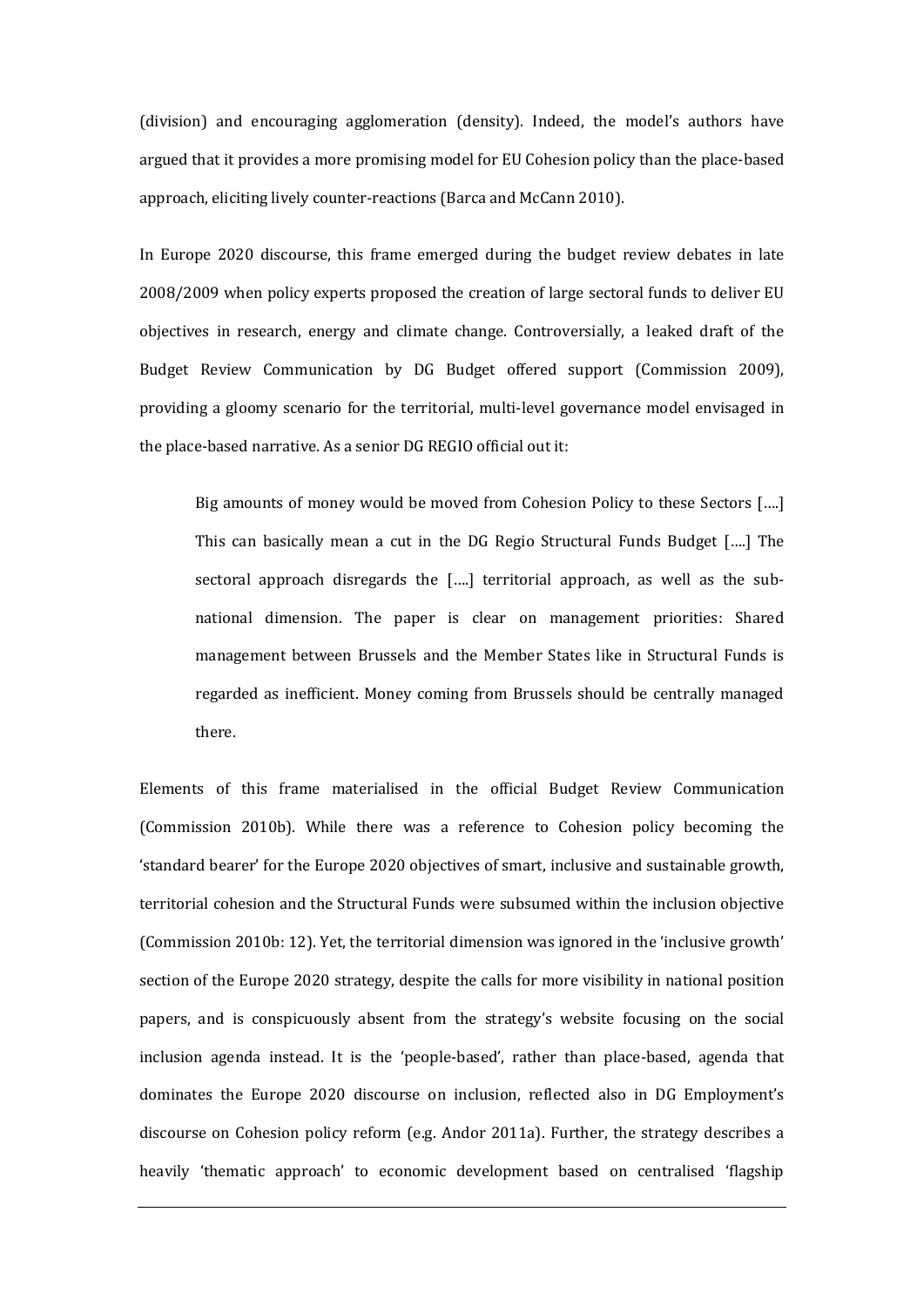(division) and encouraging agglomeration (density). Indeed, the model's authors have argued that it provides a more promising model for EU Cohesion policy than the place-based approach, eliciting lively counter-reactions (Barca and McCann 2010).

In Europe 2020 discourse, this frame emerged during the budget review debates in late 2008/2009 when policy experts proposed the creation of large sectoral funds to deliver EU objectives in research, energy and climate change. Controversially, a leaked draft of the Budget Review Communication by DG Budget offered support (Commission 2009), providing a gloomy scenario for the territorial, multi-level governance model envisaged in the place-based narrative. As a senior DG REGIO official out it:

Big amounts of money would be moved from Cohesion Policy to these Sectors [….] This can basically mean a cut in the DG Regio Structural Funds Budget [….] The sectoral approach disregards the [….] territorial approach, as well as the subnational dimension. The paper is clear on management priorities: Shared management between Brussels and the Member States like in Structural Funds is regarded as inefficient. Money coming from Brussels should be centrally managed there.

Elements of this frame materialised in the official Budget Review Communication (Commission 2010b). While there was a reference to Cohesion policy becoming the 'standard bearer' for the Europe 2020 objectives of smart, inclusive and sustainable growth, territorial cohesion and the Structural Funds were subsumed within the inclusion objective (Commission 2010b: 12). Yet, the territorial dimension was ignored in the 'inclusive growth' section of the Europe 2020 strategy, despite the calls for more visibility in national position papers, and is conspicuously absent from the strategy's website focusing on the social inclusion agenda instead. It is the 'people-based', rather than place-based, agenda that dominates the Europe 2020 discourse on inclusion, reflected also in DG Employment's discourse on Cohesion policy reform (e.g. Andor 2011a). Further, the strategy describes a heavily 'thematic approach' to economic development based on centralised 'flagship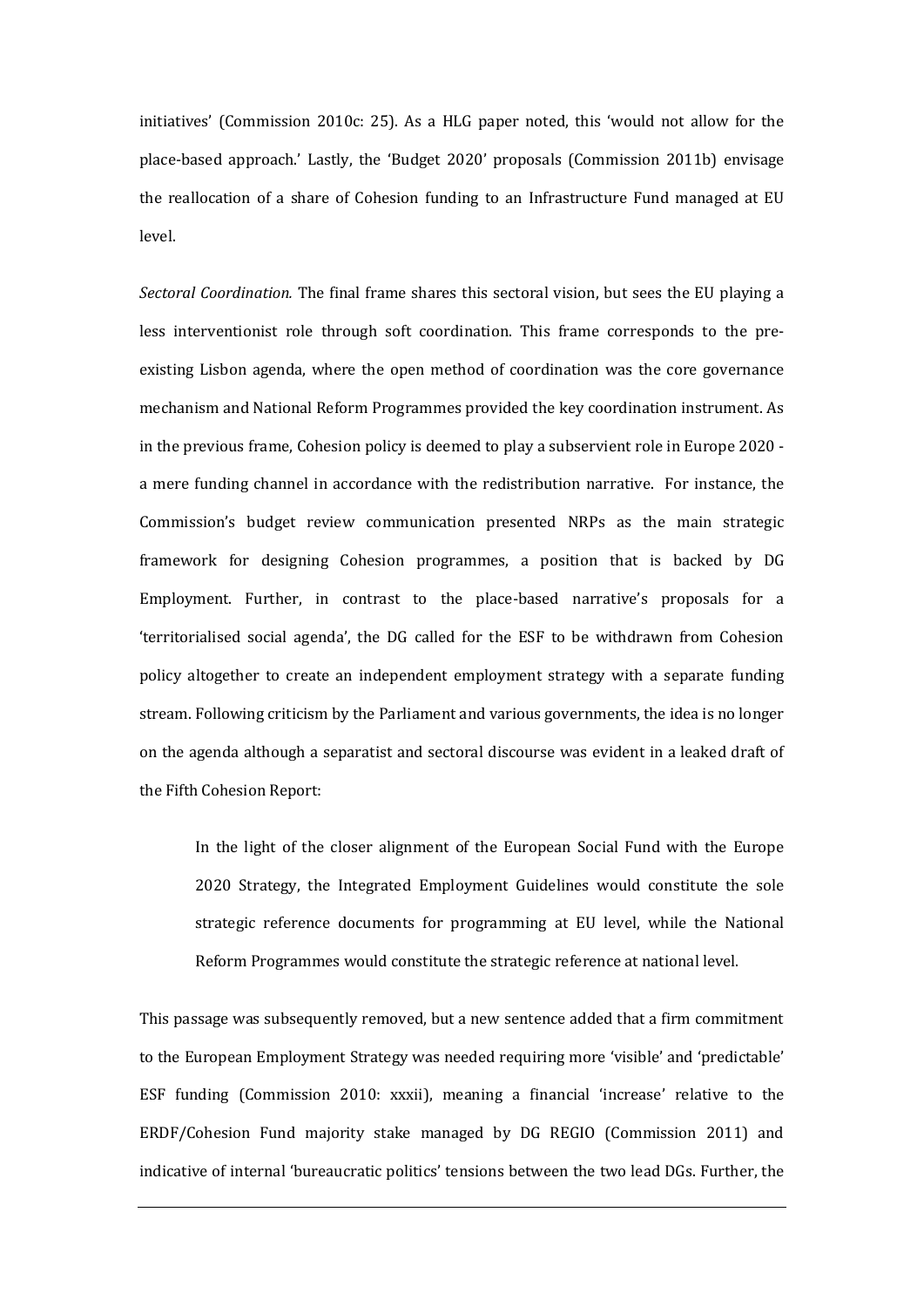initiatives' (Commission 2010c: 25). As a HLG paper noted, this 'would not allow for the place-based approach.' Lastly, the 'Budget 2020' proposals (Commission 2011b) envisage the reallocation of a share of Cohesion funding to an Infrastructure Fund managed at EU level.

*Sectoral Coordination.* The final frame shares this sectoral vision, but sees the EU playing a less interventionist role through soft coordination. This frame corresponds to the preexisting Lisbon agenda, where the open method of coordination was the core governance mechanism and National Reform Programmes provided the key coordination instrument. As in the previous frame, Cohesion policy is deemed to play a subservient role in Europe 2020 a mere funding channel in accordance with the redistribution narrative. For instance, the Commission's budget review communication presented NRPs as the main strategic framework for designing Cohesion programmes, a position that is backed by DG Employment. Further, in contrast to the place-based narrative's proposals for a 'territorialised social agenda', the DG called for the ESF to be withdrawn from Cohesion policy altogether to create an independent employment strategy with a separate funding stream. Following criticism by the Parliament and various governments, the idea is no longer on the agenda although a separatist and sectoral discourse was evident in a leaked draft of the Fifth Cohesion Report:

In the light of the closer alignment of the European Social Fund with the Europe 2020 Strategy, the Integrated Employment Guidelines would constitute the sole strategic reference documents for programming at EU level, while the National Reform Programmes would constitute the strategic reference at national level.

This passage was subsequently removed, but a new sentence added that a firm commitment to the European Employment Strategy was needed requiring more 'visible' and 'predictable' ESF funding (Commission 2010: xxxii), meaning a financial 'increase' relative to the ERDF/Cohesion Fund majority stake managed by DG REGIO (Commission 2011) and indicative of internal 'bureaucratic politics' tensions between the two lead DGs. Further, the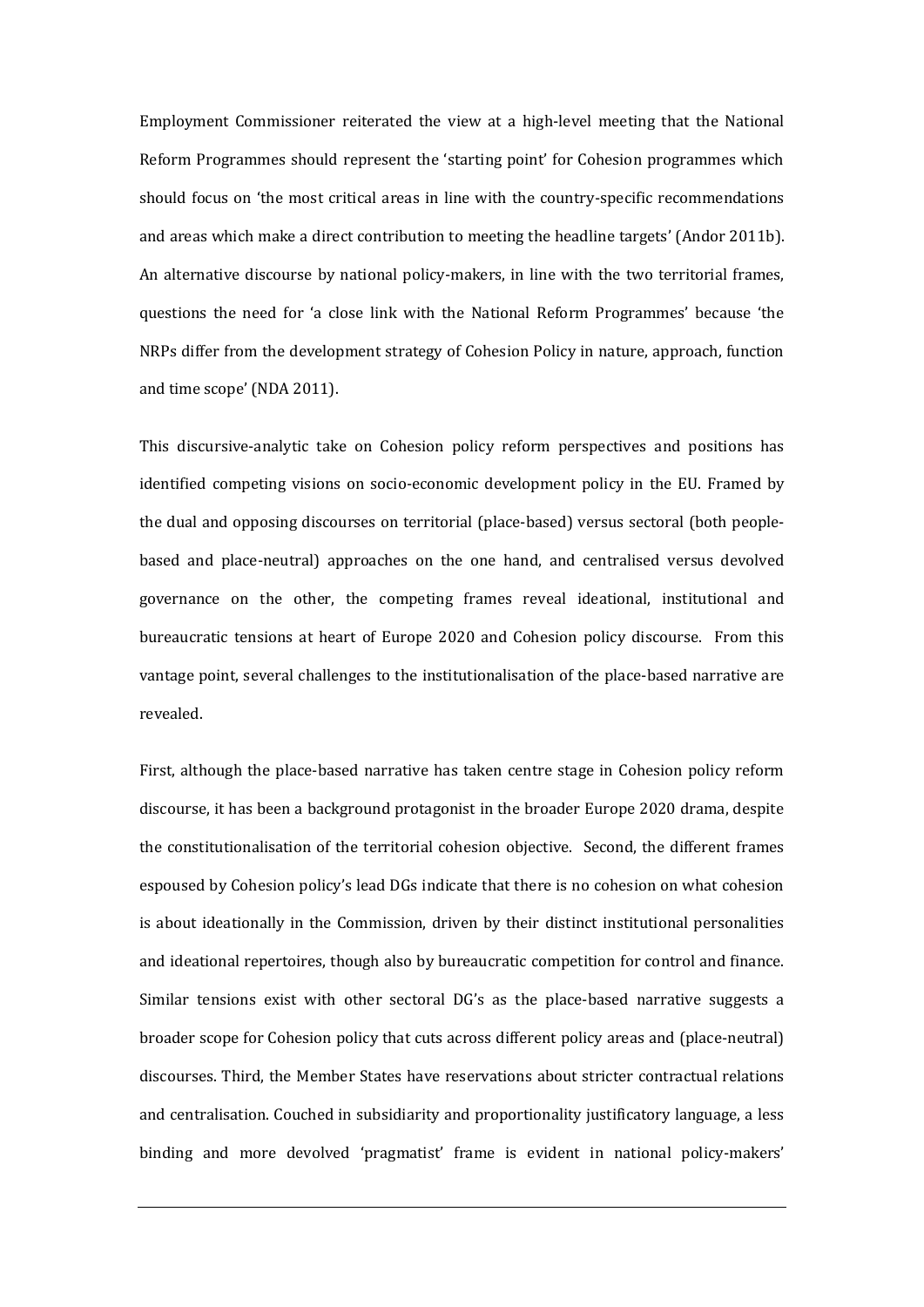Employment Commissioner reiterated the view at a high-level meeting that the National Reform Programmes should represent the 'starting point' for Cohesion programmes which should focus on 'the most critical areas in line with the country-specific recommendations and areas which make a direct contribution to meeting the headline targets' (Andor 2011b). An alternative discourse by national policy-makers, in line with the two territorial frames, questions the need for 'a close link with the National Reform Programmes' because 'the NRPs differ from the development strategy of Cohesion Policy in nature, approach, function and time scope' (NDA 2011).

This discursive-analytic take on Cohesion policy reform perspectives and positions has identified competing visions on socio-economic development policy in the EU. Framed by the dual and opposing discourses on territorial (place-based) versus sectoral (both peoplebased and place-neutral) approaches on the one hand, and centralised versus devolved governance on the other, the competing frames reveal ideational, institutional and bureaucratic tensions at heart of Europe 2020 and Cohesion policy discourse. From this vantage point, several challenges to the institutionalisation of the place-based narrative are revealed.

First, although the place-based narrative has taken centre stage in Cohesion policy reform discourse, it has been a background protagonist in the broader Europe 2020 drama, despite the constitutionalisation of the territorial cohesion objective. Second, the different frames espoused by Cohesion policy's lead DGs indicate that there is no cohesion on what cohesion is about ideationally in the Commission, driven by their distinct institutional personalities and ideational repertoires, though also by bureaucratic competition for control and finance. Similar tensions exist with other sectoral DG's as the place-based narrative suggests a broader scope for Cohesion policy that cuts across different policy areas and (place-neutral) discourses. Third, the Member States have reservations about stricter contractual relations and centralisation. Couched in subsidiarity and proportionality justificatory language, a less binding and more devolved 'pragmatist' frame is evident in national policy-makers'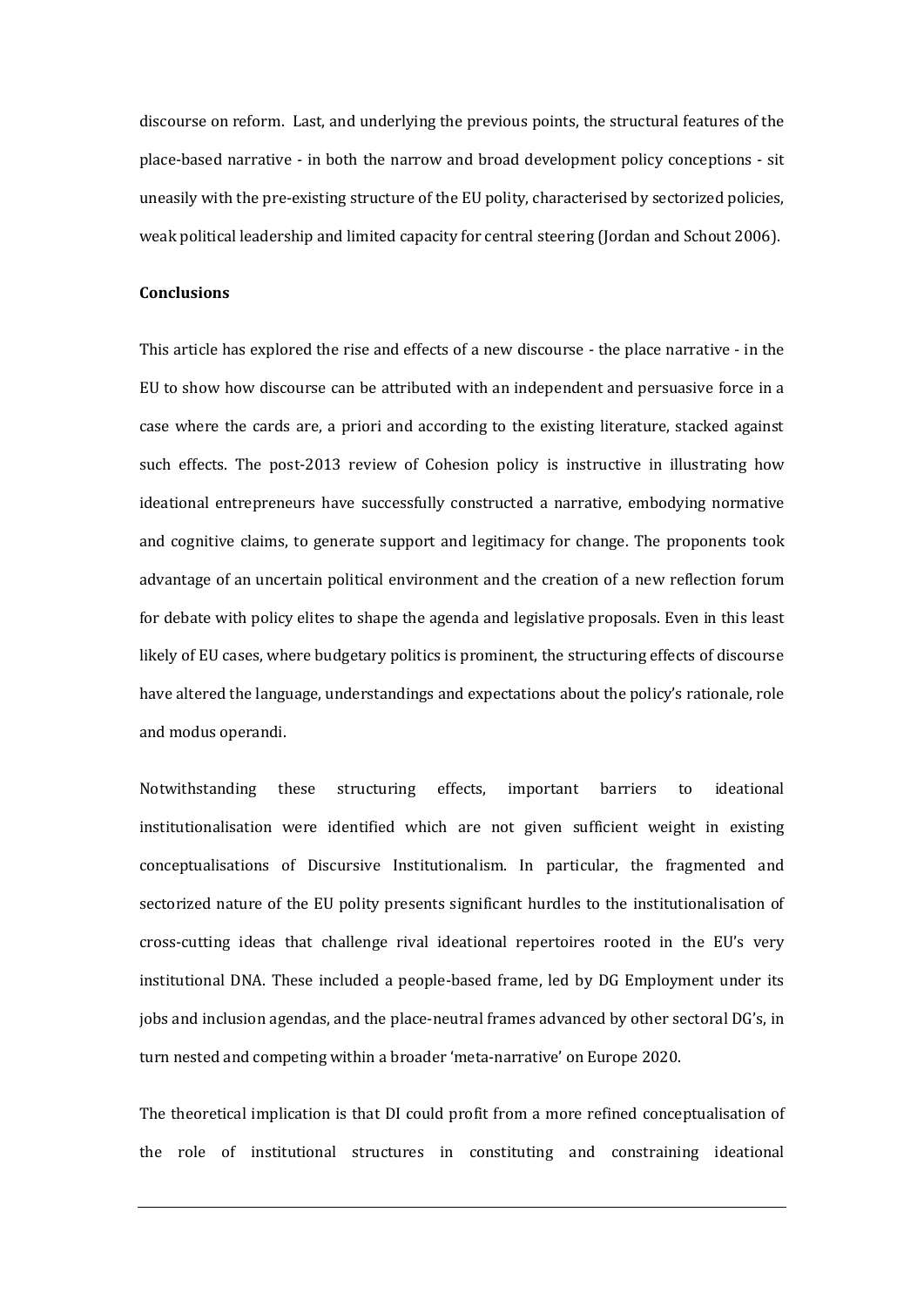discourse on reform. Last, and underlying the previous points, the structural features of the place-based narrative - in both the narrow and broad development policy conceptions - sit uneasily with the pre-existing structure of the EU polity, characterised by sectorized policies, weak political leadership and limited capacity for central steering (Jordan and Schout 2006).

#### **Conclusions**

This article has explored the rise and effects of a new discourse - the place narrative - in the EU to show how discourse can be attributed with an independent and persuasive force in a case where the cards are, a priori and according to the existing literature, stacked against such effects. The post-2013 review of Cohesion policy is instructive in illustrating how ideational entrepreneurs have successfully constructed a narrative, embodying normative and cognitive claims, to generate support and legitimacy for change. The proponents took advantage of an uncertain political environment and the creation of a new reflection forum for debate with policy elites to shape the agenda and legislative proposals. Even in this least likely of EU cases, where budgetary politics is prominent, the structuring effects of discourse have altered the language, understandings and expectations about the policy's rationale, role and modus operandi.

Notwithstanding these structuring effects, important barriers to ideational institutionalisation were identified which are not given sufficient weight in existing conceptualisations of Discursive Institutionalism. In particular, the fragmented and sectorized nature of the EU polity presents significant hurdles to the institutionalisation of cross-cutting ideas that challenge rival ideational repertoires rooted in the EU's very institutional DNA. These included a people-based frame, led by DG Employment under its jobs and inclusion agendas, and the place-neutral frames advanced by other sectoral DG's, in turn nested and competing within a broader 'meta-narrative' on Europe 2020.

The theoretical implication is that DI could profit from a more refined conceptualisation of the role of institutional structures in constituting and constraining ideational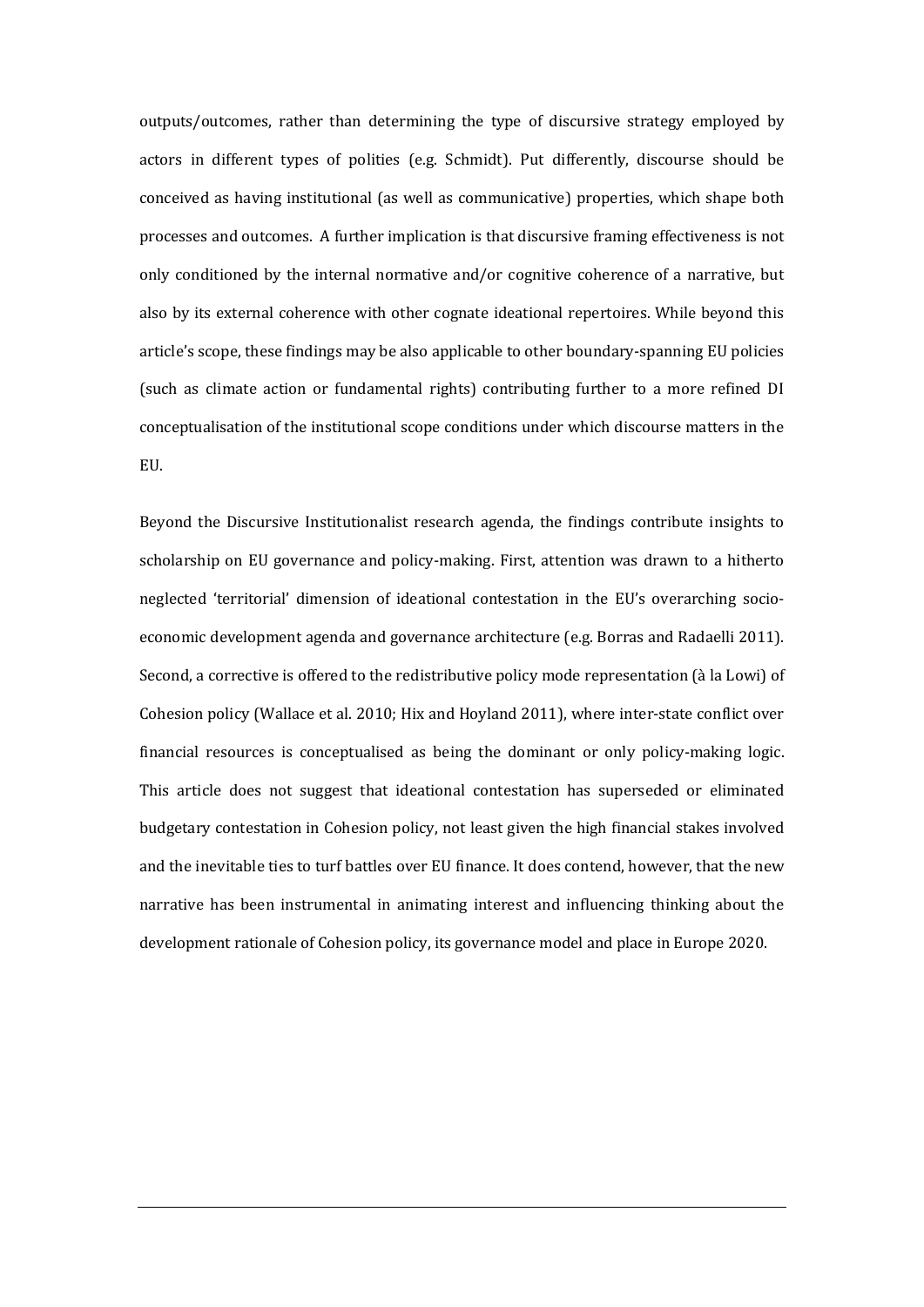outputs/outcomes, rather than determining the type of discursive strategy employed by actors in different types of polities (e.g. Schmidt). Put differently, discourse should be conceived as having institutional (as well as communicative) properties, which shape both processes and outcomes. A further implication is that discursive framing effectiveness is not only conditioned by the internal normative and/or cognitive coherence of a narrative, but also by its external coherence with other cognate ideational repertoires. While beyond this article's scope, these findings may be also applicable to other boundary-spanning EU policies (such as climate action or fundamental rights) contributing further to a more refined DI conceptualisation of the institutional scope conditions under which discourse matters in the EU.

Beyond the Discursive Institutionalist research agenda, the findings contribute insights to scholarship on EU governance and policy-making. First, attention was drawn to a hitherto neglected 'territorial' dimension of ideational contestation in the EU's overarching socioeconomic development agenda and governance architecture (e.g. Borras and Radaelli 2011). Second, a corrective is offered to the redistributive policy mode representation (à la Lowi) of Cohesion policy (Wallace et al. 2010; Hix and Hoyland 2011), where inter-state conflict over financial resources is conceptualised as being the dominant or only policy-making logic. This article does not suggest that ideational contestation has superseded or eliminated budgetary contestation in Cohesion policy, not least given the high financial stakes involved and the inevitable ties to turf battles over EU finance. It does contend, however, that the new narrative has been instrumental in animating interest and influencing thinking about the development rationale of Cohesion policy, its governance model and place in Europe 2020.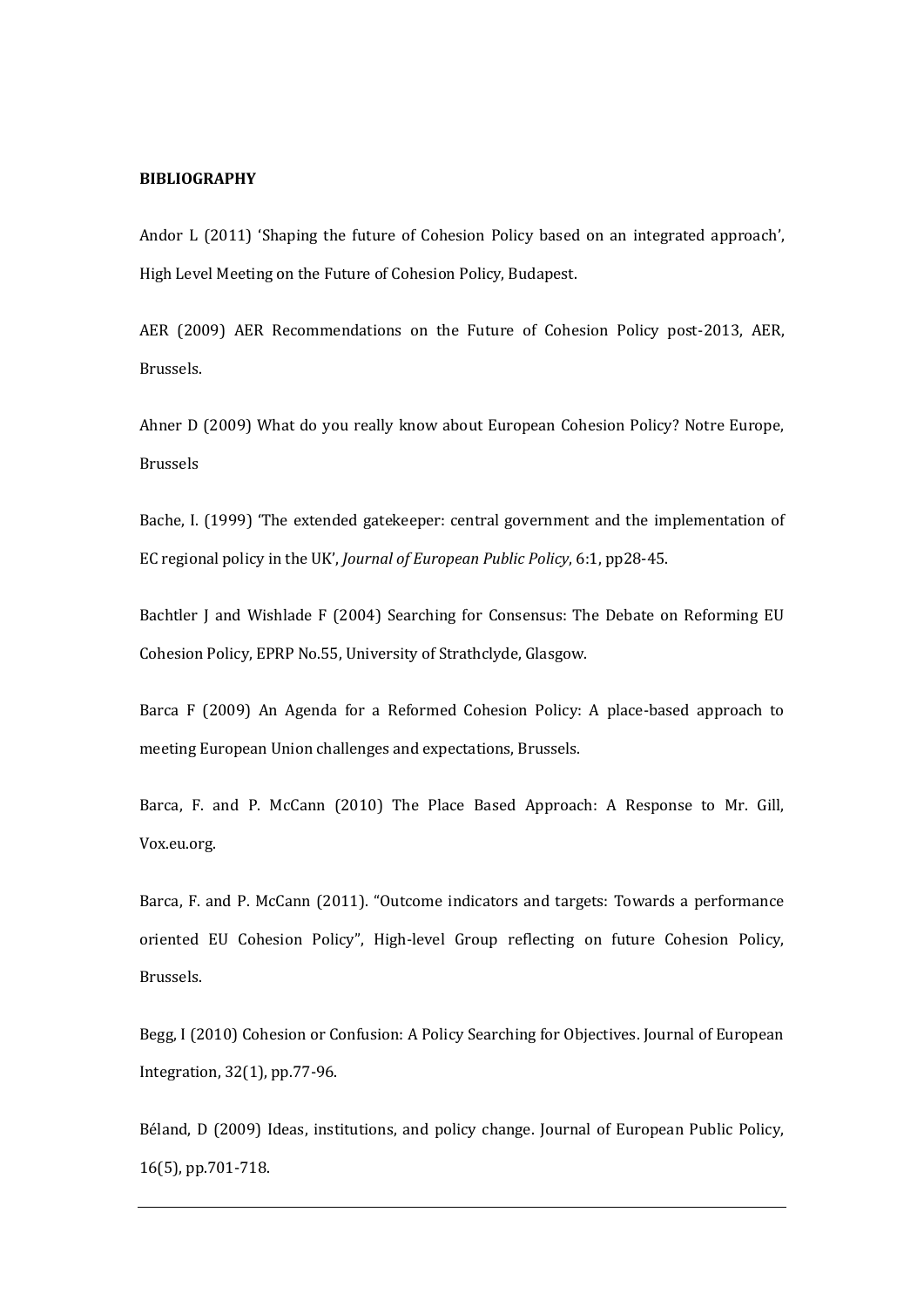# **BIBLIOGRAPHY**

Andor L (2011) 'Shaping the future of Cohesion Policy based on an integrated approach', High Level Meeting on the Future of Cohesion Policy, Budapest.

AER (2009) AER Recommendations on the Future of Cohesion Policy post-2013, AER, Brussels.

Ahner D (2009) What do you really know about European Cohesion Policy? Notre Europe, Brussels

Bache, I. (1999) 'The extended gatekeeper: central government and the implementation of EC regional policy in the UK', *Journal of European Public Policy*, 6:1, pp28-45.

Bachtler J and Wishlade F (2004) Searching for Consensus: The Debate on Reforming EU Cohesion Policy, EPRP No.55, University of Strathclyde, Glasgow.

Barca F (2009) An Agenda for a Reformed Cohesion Policy: A place-based approach to meeting European Union challenges and expectations, Brussels.

Barca, F. and P. McCann (2010) The Place Based Approach: A Response to Mr. Gill, Vox.eu.org.

Barca, F. and P. McCann (2011). "Outcome indicators and targets: Towards a performance oriented EU Cohesion Policy", High-level Group reflecting on future Cohesion Policy, Brussels.

Begg, I (2010) Cohesion or Confusion: A Policy Searching for Objectives. Journal of European Integration, 32(1), pp.77-96.

Béland, D (2009) Ideas, institutions, and policy change. Journal of European Public Policy, 16(5), pp.701-718.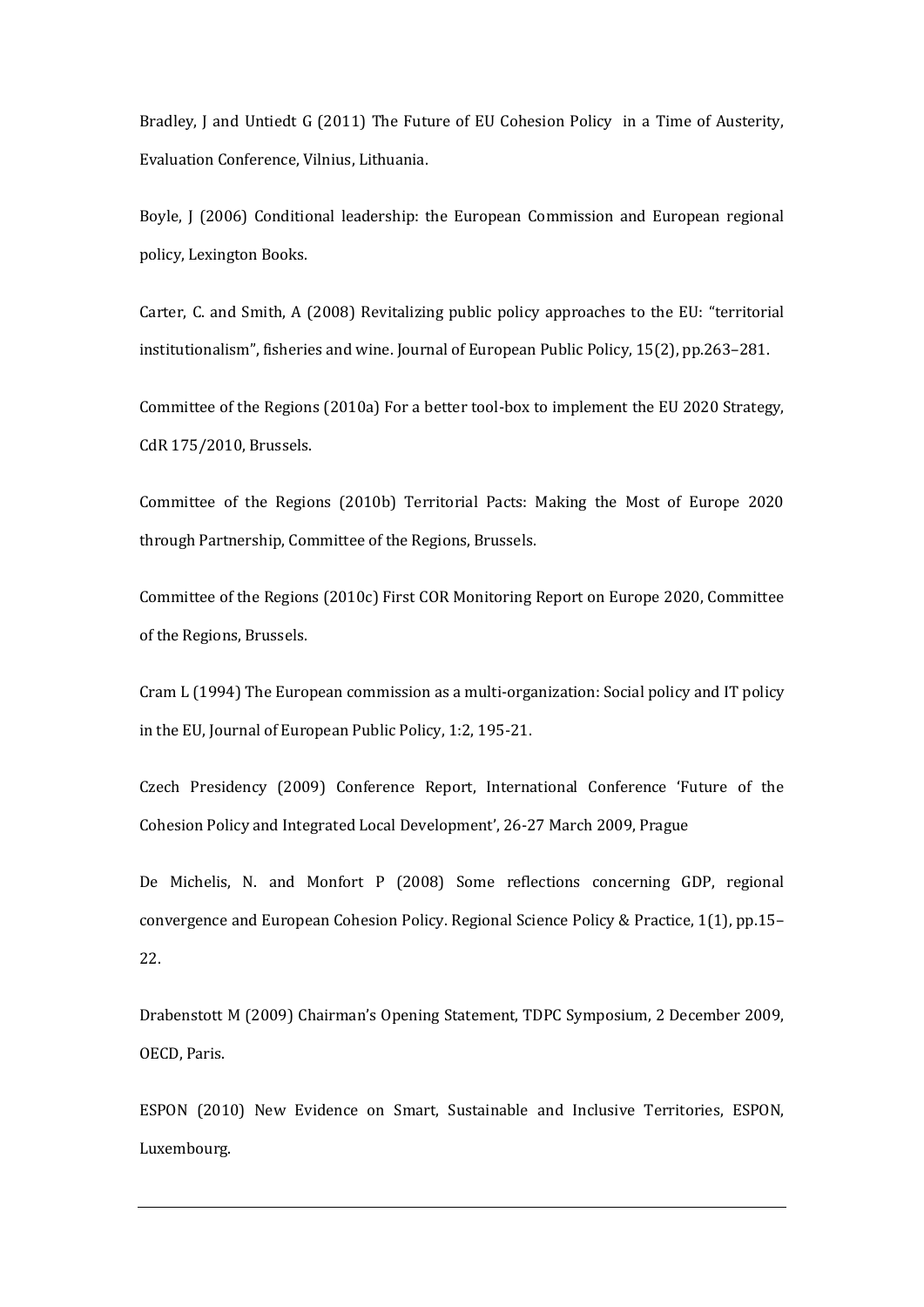Bradley, J and Untiedt G (2011) The Future of EU Cohesion Policy in a Time of Austerity, Evaluation Conference, Vilnius, Lithuania.

Boyle, J (2006) Conditional leadership: the European Commission and European regional policy, Lexington Books.

Carter, C. and Smith, A (2008) Revitalizing public policy approaches to the EU: "territorial institutionalism", fisheries and wine. Journal of European Public Policy, 15(2), pp.263–281.

Committee of the Regions (2010a) For a better tool-box to implement the EU 2020 Strategy, CdR 175/2010, Brussels.

Committee of the Regions (2010b) Territorial Pacts: Making the Most of Europe 2020 through Partnership, Committee of the Regions, Brussels.

Committee of the Regions (2010c) First COR Monitoring Report on Europe 2020, Committee of the Regions, Brussels.

Cram L (1994) The European commission as a multi‐organization: Social policy and IT policy in the EU, Journal of European Public Policy, 1:2, 195-21.

Czech Presidency (2009) Conference Report, International Conference 'Future of the Cohesion Policy and Integrated Local Development', 26-27 March 2009, Prague

De Michelis, N. and Monfort P (2008) Some reflections concerning GDP, regional convergence and European Cohesion Policy. Regional Science Policy & Practice, 1(1), pp.15– 22.

Drabenstott M (2009) Chairman's Opening Statement, TDPC Symposium, 2 December 2009, OECD, Paris.

ESPON (2010) New Evidence on Smart, Sustainable and Inclusive Territories, ESPON, Luxembourg.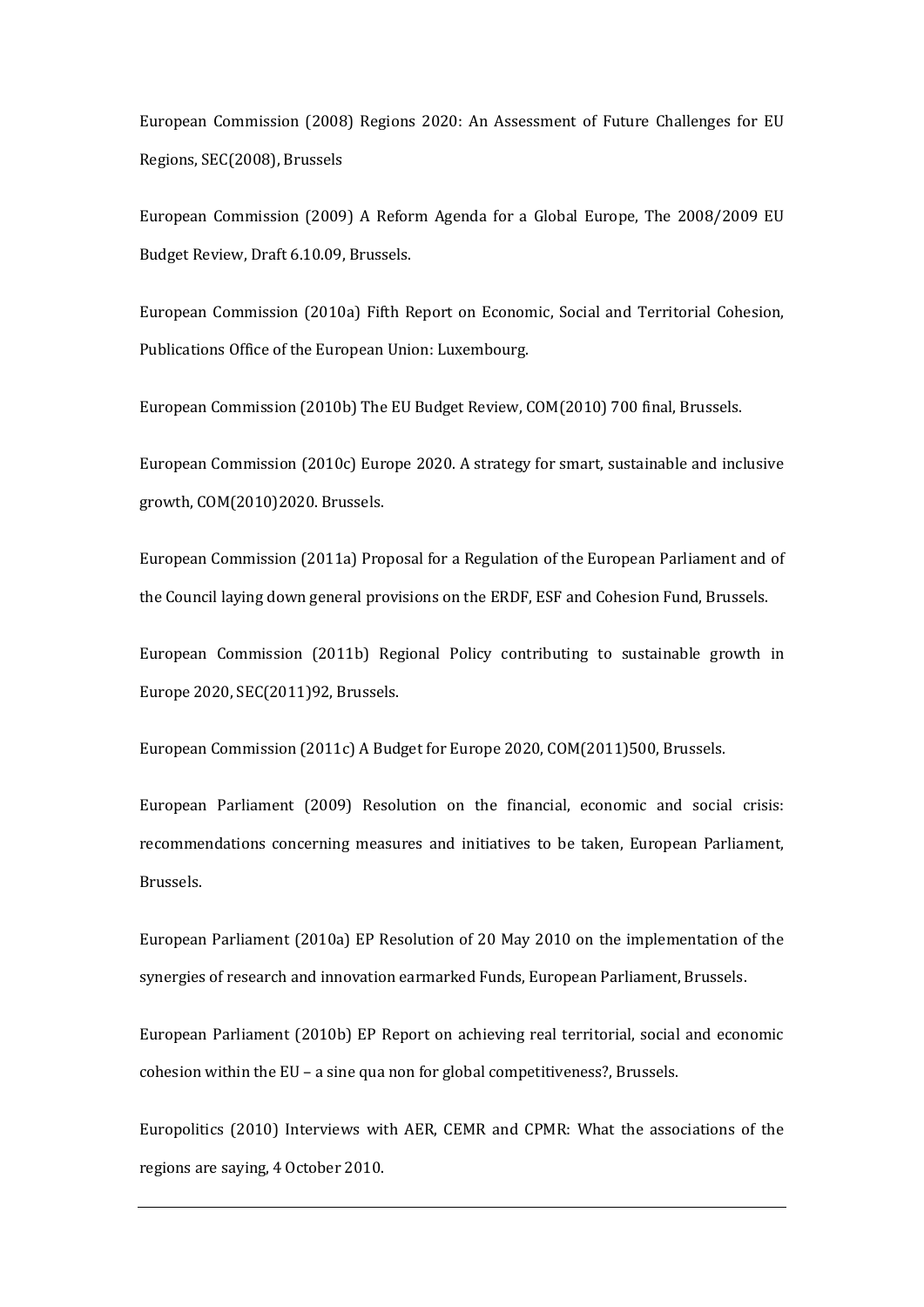European Commission (2008) Regions 2020: An Assessment of Future Challenges for EU Regions, SEC(2008), Brussels

European Commission (2009) A Reform Agenda for a Global Europe, The 2008/2009 EU Budget Review, Draft 6.10.09, Brussels.

European Commission (2010a) Fifth Report on Economic, Social and Territorial Cohesion, Publications Office of the European Union: Luxembourg.

European Commission (2010b) The EU Budget Review, COM(2010) 700 final, Brussels.

European Commission (2010c) Europe 2020. A strategy for smart, sustainable and inclusive growth, COM(2010)2020. Brussels.

European Commission (2011a) Proposal for a Regulation of the European Parliament and of the Council laying down general provisions on the ERDF, ESF and Cohesion Fund, Brussels.

European Commission (2011b) Regional Policy contributing to sustainable growth in Europe 2020, SEC(2011)92, Brussels.

European Commission (2011c) A Budget for Europe 2020, COM(2011)500, Brussels.

European Parliament (2009) Resolution on the financial, economic and social crisis: recommendations concerning measures and initiatives to be taken, European Parliament, Brussels.

European Parliament (2010a) EP Resolution of 20 May 2010 on the implementation of the synergies of research and innovation earmarked Funds, European Parliament, Brussels.

European Parliament (2010b) EP Report on achieving real territorial, social and economic cohesion within the EU – a sine qua non for global competitiveness?, Brussels.

Europolitics (2010) Interviews with AER, CEMR and CPMR: What the associations of the regions are saying, 4 October 2010.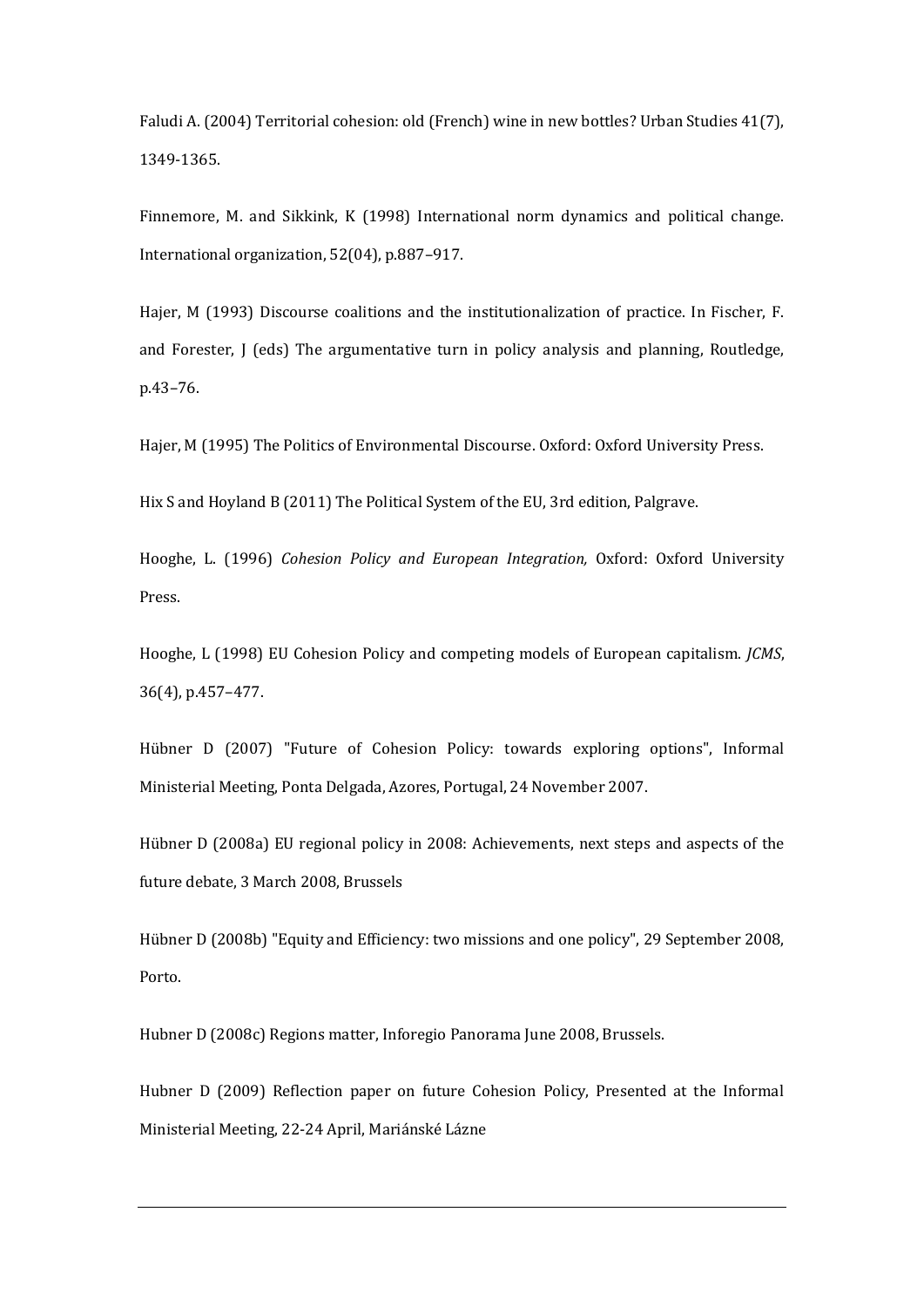Faludi A. (2004) Territorial cohesion: old (French) wine in new bottles? Urban Studies 41(7), 1349-1365.

Finnemore, M. and Sikkink, K (1998) International norm dynamics and political change. International organization, 52(04), p.887–917.

Hajer, M (1993) Discourse coalitions and the institutionalization of practice. In Fischer, F. and Forester, J (eds) The argumentative turn in policy analysis and planning, Routledge, p.43–76.

Hajer, M (1995) The Politics of Environmental Discourse. Oxford: Oxford University Press.

Hix S and Hoyland B (2011) The Political System of the EU, 3rd edition, Palgrave.

Hooghe, L. (1996) *Cohesion Policy and European Integration,* Oxford: Oxford University Press.

Hooghe, L (1998) EU Cohesion Policy and competing models of European capitalism. *JCMS*, 36(4), p.457–477.

Hübner D (2007) "Future of Cohesion Policy: towards exploring options", Informal Ministerial Meeting, Ponta Delgada, Azores, Portugal, 24 November 2007.

Hübner D (2008a) EU regional policy in 2008: Achievements, next steps and aspects of the future debate, 3 March 2008, Brussels

Hübner D (2008b) "Equity and Efficiency: two missions and one policy", 29 September 2008, Porto.

Hubner D (2008c) Regions matter, Inforegio Panorama June 2008, Brussels.

Hubner D (2009) Reflection paper on future Cohesion Policy, Presented at the Informal Ministerial Meeting, 22-24 April, Mariánské Lázne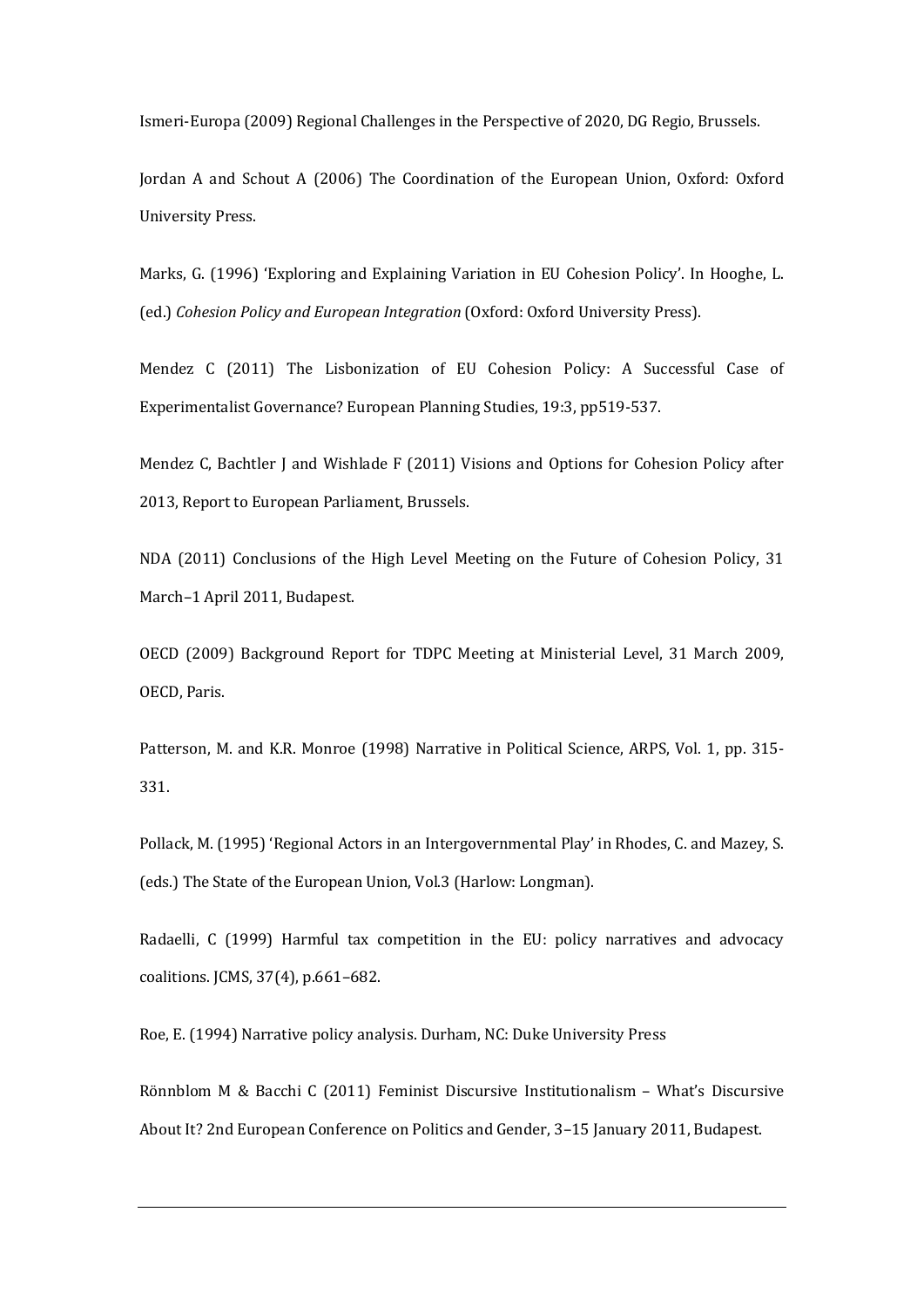Ismeri-Europa (2009) Regional Challenges in the Perspective of 2020, DG Regio, Brussels.

Jordan A and Schout A (2006) The Coordination of the European Union, Oxford: Oxford University Press.

Marks, G. (1996) 'Exploring and Explaining Variation in EU Cohesion Policy'. In Hooghe, L. (ed.) *Cohesion Policy and European Integration* (Oxford: Oxford University Press).

Mendez C (2011) The Lisbonization of EU Cohesion Policy: A Successful Case of Experimentalist Governance? European Planning Studies, 19:3, pp519-537.

Mendez C, Bachtler J and Wishlade F (2011) Visions and Options for Cohesion Policy after 2013, Report to European Parliament, Brussels.

NDA (2011) Conclusions of the High Level Meeting on the Future of Cohesion Policy, 31 March–1 April 2011, Budapest.

OECD (2009) Background Report for TDPC Meeting at Ministerial Level, 31 March 2009, OECD, Paris.

Patterson, M. and K.R. Monroe (1998) Narrative in Political Science, ARPS, Vol. 1, pp. 315- 331.

Pollack, M. (1995) 'Regional Actors in an Intergovernmental Play' in Rhodes, C. and Mazey, S. (eds.) The State of the European Union, Vol.3 (Harlow: Longman).

Radaelli, C (1999) Harmful tax competition in the EU: policy narratives and advocacy coalitions. JCMS, 37(4), p.661–682.

Roe, E. (1994) Narrative policy analysis. Durham, NC: Duke University Press

Rönnblom M & Bacchi C (2011) Feminist Discursive Institutionalism – What's Discursive About It? 2nd European Conference on Politics and Gender, 3–15 January 2011, Budapest.